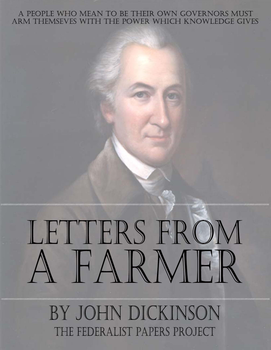### A PEOPLE WHO MEAN TO BE THEIR OWN GOVERNORS MUST ARM THEMSEVES WITH THE POWER WHICH KNOWLEDGE GIVES

# LETTERS FROM FARMFR

BY JOHN DICKINSON THE FEDERALIST PAPERS PROJECT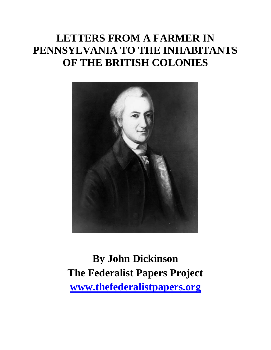# **LETTERS FROM A FARMER IN PENNSYLVANIA TO THE INHABITANTS OF THE BRITISH COLONIES**



**By John Dickinson The Federalist Papers Project [www.thefederalistpapers.org](http://www.thefederalistpapers.org/)**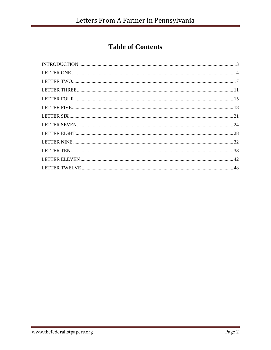# **Table of Contents**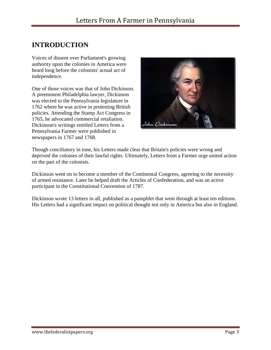## <span id="page-3-0"></span>**INTRODUCTION**

Voices of dissent over Parliament's growing authority upon the colonies in America were heard long before the colonists' actual act of independence.

One of those voices was that of John Dickinson. A preeminent Philadelphia lawyer, Dickinson was elected to the Pennsylvania legislature in 1762 where he was active in protesting British policies. Attending the Stamp Act Congress in 1765, he advocated commercial retaliation. Dickinson's writings entitled Letters from a Pennsylvania Farmer were published in newspapers in 1767 and 1768.



Though conciliatory in tone, his Letters made clear that Britain's policies were wrong and deprived the colonies of their lawful rights. Ultimately, Letters from a Farmer urge united action on the part of the colonists.

Dickinson went on to become a member of the Continental Congress, agreeing to the necessity of armed resistance. Later he helped draft the Articles of Confederation, and was an active participant in the Constitutional Convention of 1787.

Dickinson wrote 13 letters in all, published as a pamphlet that went through at least ten editions. His Letters had a significant impact on political thought not only in America but also in England.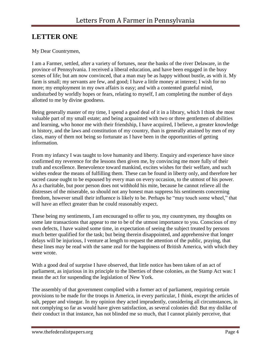# <span id="page-4-0"></span>**LETTER ONE**

### My Dear Countrymen,

I am a Farmer, settled, after a variety of fortunes, near the banks of the river Delaware, in the province of Pennsylvania. I received a liberal education, and have been engaged in the busy scenes of life; but am now convinced, that a man may be as happy without bustle, as with it. My farm is small; my servants are few, and good; I have a little money at interest; I wish for no more; my employment in my own affairs is easy; and with a contented grateful mind, undisturbed by worldly hopes or fears, relating to myself, I am completing the number of days allotted to me by divine goodness.

Being generally master of my time, I spend a good deal of it in a library, which I think the most valuable part of my small estate; and being acquainted with two or three gentlemen of abilities and learning, who honor me with their friendship, I have acquired, I believe, a greater knowledge in history, and the laws and constitution of my country, than is generally attained by men of my class, many of them not being so fortunate as I have been in the opportunities of getting information.

From my infancy I was taught to love humanity and liberty. Enquiry and experience have since confirmed my reverence for the lessons then given me, by convincing me more fully of their truth and excellence. Benevolence toward mankind, excites wishes for their welfare, and such wishes endear the means of fulfilling them. These can be found in liberty only, and therefore her sacred cause ought to be espoused by every man on every occasion, to the utmost of his power. As a charitable, but poor person does not withhold his mite, because he cannot relieve all the distresses of the miserable, so should not any honest man suppress his sentiments concerning freedom, however small their influence is likely to be. Perhaps he "may touch some wheel," that will have an effect greater than he could reasonably expect.

These being my sentiments, I am encouraged to offer to you, my countrymen, my thoughts on some late transactions that appear to me to be of the utmost importance to you. Conscious of my own defects, I have waited some time, in expectation of seeing the subject treated by persons much better qualified for the task; but being therein disappointed, and apprehensive that longer delays will be injurious, I venture at length to request the attention of the public, praying, that these lines may be read with the same zeal for the happiness of British America, with which they were wrote.

With a good deal of surprise I have observed, that little notice has been taken of an act of parliament, as injurious in its principle to the liberties of these colonies, as the Stamp Act was: I mean the act for suspending the legislation of New York.

The assembly of that government complied with a former act of parliament, requiring certain provisions to be made for the troops in America, in every particular, I think, except the articles of salt, pepper and vinegar. In my opinion they acted imprudently, considering all circumstances, in not complying so far as would have given satisfaction, as several colonies did: But my dislike of their conduct in that instance, has not blinded me so much, that I cannot plainly perceive, that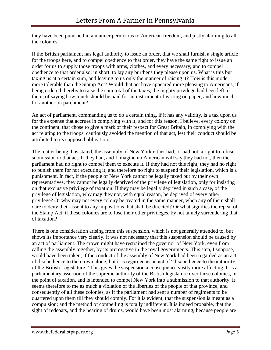they have been punished in a manner pernicious to American freedom, and justly alarming to all the colonies.

If the British parliament has legal authority to issue an order, that we shall furnish a single article for the troops here, and to compel obedience to that order, they have the same right to issue an order for us to supply those troops with arms, clothes, and every necessary; and to compel obedience to that order also; in short, to lay any burthens they please upon us. What is this but taxing us at a certain sum, and leaving to us only the manner of raising it? How is this mode more tolerable than the Stamp Act? Would that act have appeared more pleasing to Americans, if being ordered thereby to raise the sum total of the taxes, the mighty privilege had been left to them, of saying how much should be paid for an instrument of writing on paper, and how much for another on parchment?

An act of parliament, commanding us to do a certain thing, if it has any validity, is a tax upon us for the expense that accrues in complying with it; and for this reason, I believe, every colony on the continent, that chose to give a mark of their respect for Great Britain, in complying with the act relating to the troops, cautiously avoided the mention of that act, lest their conduct should be attributed to its supposed obligation.

The matter being thus stated, the assembly of New York either had, or had not, a right to refuse submission to that act. If they had, and I imagine no American will say they had not, then the parliament had no right to compel them to execute it. If they had not this right, they had no right to punish them for not executing it; and therefore no right to suspend their legislation, which is a punishment. In fact, if the people of New York cannot be legally taxed but by their own representatives, they cannot be legally deprived of the privilege of legislation, only for insisting on that exclusive privilege of taxation. If they may be legally deprived in such a case, of the privilege of legislation, why may they not, with equal reason, be deprived of every other privilege? Or why may not every colony be treated in the same manner, when any of them shall dare to deny their assent to any impositions that shall be directed? Or what signifies the repeal of the Stamp Act, if these colonies are to lose their other privileges, by not tamely surrendering that of taxation?

There is one consideration arising from this suspension, which is not generally attended to, but shows its importance very clearly. It was not necessary that this suspension should be caused by an act of parliament. The crown might have restrained the governor of New York, even from calling the assembly together, by its prerogative in the royal governments. This step, I suppose, would have been taken, if the conduct of the assembly of New York had been regarded as an act of disobedience to the crown alone; but it is regarded as an act of "disobedience to the authority of the British Legislature." This gives the suspension a consequence vastly more affecting. It is a parliamentary assertion of the supreme authority of the British legislature over these colonies, in the point of taxation, and is intended to compel New York into a submission to that authority. It seems therefore to me as much a violation of the liberties of the people of that province, and consequently of all these colonies, as if the parliament had sent a number of regiments to be quartered upon them till they should comply. For it is evident, that the suspension is meant as a compulsion; and the method of compelling is totally indifferent. It is indeed probable, that the sight of redcoats, and the hearing of drums, would have been most alarming; because people are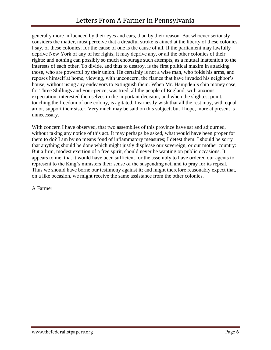generally more influenced by their eyes and ears, than by their reason. But whoever seriously considers the matter, must perceive that a dreadful stroke is aimed at the liberty of these colonies. I say, of these colonies; for the cause of one is the cause of all. If the parliament may lawfully deprive New York of any of her rights, it may deprive any, or all the other colonies of their rights; and nothing can possibly so much encourage such attempts, as a mutual inattention to the interests of each other. To divide, and thus to destroy, is the first political maxim in attacking those, who are powerful by their union. He certainly is not a wise man, who folds his arms, and reposes himself at home, viewing, with unconcern, the flames that have invaded his neighbor's house, without using any endeavors to extinguish them. When Mr. Hampden's ship money case, for Three Shillings and Four-pence, was tried, all the people of England, with anxious expectation, interested themselves in the important decision; and when the slightest point, touching the freedom of one colony, is agitated, I earnestly wish that all the rest may, with equal ardor, support their sister. Very much may be said on this subject; but I hope, more at present is unnecessary.

With concern I have observed, that two assemblies of this province have sat and adjourned, without taking any notice of this act. It may perhaps be asked, what would have been proper for them to do? I am by no means fond of inflammatory measures; I detest them. I should be sorry that anything should be done which might justly displease our sovereign, or our mother country: But a firm, modest exertion of a free spirit, should never be wanting on public occasions. It appears to me, that it would have been sufficient for the assembly to have ordered our agents to represent to the King's ministers their sense of the suspending act, and to pray for its repeal. Thus we should have borne our testimony against it; and might therefore reasonably expect that, on a like occasion, we might receive the same assistance from the other colonies.

A Farmer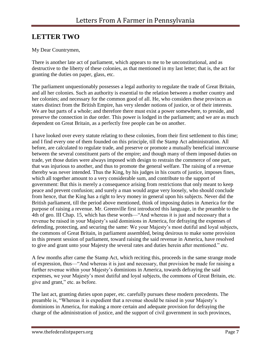# <span id="page-7-0"></span>**LETTER TWO**

### My Dear Countrymen,

There is another late act of parliament, which appears to me to be unconstitutional, and as destructive to the liberty of these colonies, as that mentioned in my last letter; that is, the act for granting the duties on paper, glass, etc.

The parliament unquestionably possesses a legal authority to regulate the trade of Great Britain, and all her colonies. Such an authority is essential to the relation between a mother country and her colonies; and necessary for the common good of all. He, who considers these provinces as states distinct from the British Empire, has very slender notions of justice, or of their interests. We are but parts of a whole; and therefore there must exist a power somewhere, to preside, and preserve the connection in due order. This power is lodged in the parliament; and we are as much dependent on Great Britain, as a perfectly free people can be on another.

I have looked over every statute relating to these colonies, from their first settlement to this time; and I find every one of them founded on this principle, till the Stamp Act administration. All before, are calculated to regulate trade, and preserve or promote a mutually beneficial intercourse between the several constituent parts of the empire; and though many of them imposed duties on trade, yet those duties were always imposed with design to restrain the commerce of one part, that was injurious to another, and thus to promote the general welfare. The raising of a revenue thereby was never intended. Thus the King, by his judges in his courts of justice, imposes fines, which all together amount to a very considerable sum, and contribute to the support of government: But this is merely a consequence arising from restrictions that only meant to keep peace and prevent confusion; and surely a man would argue very loosely, who should conclude from hence, that the King has a right to levy money in general upon his subjects. Never did the British parliament, till the period above mentioned, think of imposing duties in America for the purpose of raising a revenue. Mr. Greenville first introduced this language, in the preamble to the 4th of geo. III Chap. 15, which has these words—"And whereas it is just and necessary that a revenue be raised in your Majesty's said dominions in America, for defraying the expenses of defending, protecting, and securing the same: We your Majesty's most dutiful and loyal subjects, the commons of Great Britain, in parliament assembled, being desirous to make some provision in this present session of parliament, toward raising the said revenue in America, have resolved to give and grant unto your Majesty the several rates and duties herein after mentioned." etc.

A few months after came the Stamp Act, which reciting this, proceeds in the same strange mode of expression, thus—"And whereas it is just and necessary, that provision be made for raising a further revenue within your Majesty's dominions in America, towards defraying the said expenses, we your Majesty's most dutiful and loyal subjects, the commons of Great Britain, etc. give and grant," etc. as before.

The last act, granting duties upon paper, etc. carefully pursues these modern precedents. The preamble is, "Whereas it is expedient that a revenue should be raised in your Majesty's dominions in America, for making a more certain and adequate provision for defraying the charge of the administration of justice, and the support of civil government in such provinces,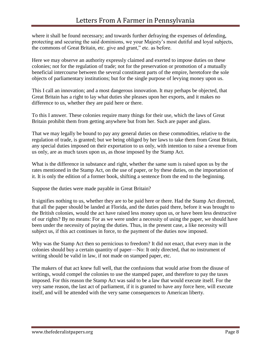where it shall be found necessary; and towards further defraying the expenses of defending, protecting and securing the said dominions, we your Majesty's most dutiful and loyal subjects, the commons of Great Britain, etc. give and grant," etc. as before.

Here we may observe an authority expressly claimed and exerted to impose duties on these colonies; not for the regulation of trade; not for the preservation or promotion of a mutually beneficial intercourse between the several constituent parts of the empire, heretofore the sole objects of parliamentary institutions; but for the single purpose of levying money upon us.

This I call an innovation; and a most dangerous innovation. It may perhaps be objected, that Great Britain has a right to lay what duties she pleases upon her exports, and it makes no difference to us, whether they are paid here or there.

To this I answer. These colonies require many things for their use, which the laws of Great Britain prohibit them from getting anywhere but from her. Such are paper and glass.

That we may legally be bound to pay any general duties on these commodities, relative to the regulation of trade, is granted; but we being obliged by her laws to take them from Great Britain, any special duties imposed on their exportation to us only, with intention to raise a revenue from us only, are as much taxes upon us, as those imposed by the Stamp Act.

What is the difference in substance and right, whether the same sum is raised upon us by the rates mentioned in the Stamp Act, on the use of paper, or by these duties, on the importation of it. It is only the edition of a former book, shifting a sentence from the end to the beginning.

Suppose the duties were made payable in Great Britain?

It signifies nothing to us, whether they are to be paid here or there. Had the Stamp Act directed, that all the paper should be landed at Florida, and the duties paid there, before it was brought to the British colonies, would the act have raised less money upon us, or have been less destructive of our rights? By no means: For as we were under a necessity of using the paper, we should have been under the necessity of paying the duties. Thus, in the present case, a like necessity will subject us, if this act continues in force, to the payment of the duties now imposed.

Why was the Stamp Act then so pernicious to freedom? It did not enact, that every man in the colonies should buy a certain quantity of paper—No: It only directed, that no instrument of writing should be valid in law, if not made on stamped paper, etc.

The makers of that act knew full well, that the confusions that would arise from the disuse of writings, would compel the colonies to use the stamped paper, and therefore to pay the taxes imposed. For this reason the Stamp Act was said to be a law that would execute itself. For the very same reason, the last act of parliament, if it is granted to have any force here, will execute itself, and will be attended with the very same consequences to American liberty.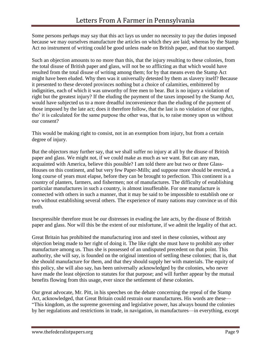Some persons perhaps may say that this act lays us under no necessity to pay the duties imposed because we may ourselves manufacture the articles on which they are laid; whereas by the Stamp Act no instrument of writing could be good unless made on British paper, and that too stamped.

Such an objection amounts to no more than this, that the injury resulting to these colonies, from the total disuse of British paper and glass, will not be so afflicting as that which would have resulted from the total disuse of writing among them; for by that means even the Stamp Act might have been eluded. Why then was it universally detested by them as slavery itself? Because it presented to these devoted provinces nothing but a choice of calamities, embittered by indignities, each of which it was unworthy of free men to bear. But is no injury a violation of right but the greatest injury? If the eluding the payment of the taxes imposed by the Stamp Act, would have subjected us to a more dreadful inconvenience than the eluding of the payment of those imposed by the late act; does it therefore follow, that the last is no violation of our rights, tho' it is calculated for the same purpose the other was, that is, to raise money upon us without our consent?

This would be making right to consist, not in an exemption from injury, but from a certain degree of injury.

But the objectors may further say, that we shall suffer no injury at all by the disuse of British paper and glass. We might not, if we could make as much as we want. But can any man, acquainted with America, believe this possible? I am told there are but two or three Glass-Houses on this continent, and but very few Paper-Mills; and suppose more should be erected, a long course of years must elapse, before they can be brought to perfection. This continent is a country of planters, farmers, and fishermen; not of manufactures. The difficulty of establishing particular manufactures in such a country, is almost insufferable. For one manufacture is connected with others in such a manner, that it may be said to be impossible to establish one or two without establishing several others. The experience of many nations may convince us of this truth.

Inexpressible therefore must be our distresses in evading the late acts, by the disuse of British paper and glass. Nor will this be the extent of our misfortune, if we admit the legality of that act.

Great Britain has prohibited the manufacturing iron and steel in these colonies, without any objection being made to her right of doing it. The like right she must have to prohibit any other manufacture among us. Thus she is possessed of an undisputed precedent on that point. This authority, she will say, is founded on the original intention of settling these colonies; that is, that she should manufacture for them, and that they should supply her with materials. The equity of this policy, she will also say, has been universally acknowledged by the colonies, who never have made the least objection to statutes for that purpose; and will further appear by the mutual benefits flowing from this usage, ever since the settlement of these colonies.

Our great advocate, Mr. Pitt, in his speeches on the debate concerning the repeal of the Stamp Act, acknowledged, that Great Britain could restrain our manufactures. His words are these— "This kingdom, as the supreme governing and legislative power, has always bound the colonies by her regulations and restrictions in trade, in navigation, in manufactures—in everything, except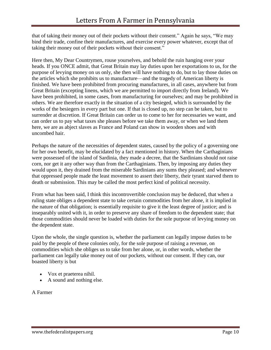that of taking their money out of their pockets without their consent." Again he says, "We may bind their trade, confine their manufactures, and exercise every power whatever, except that of taking their money out of their pockets without their consent."

Here then, My Dear Countrymen, rouse yourselves, and behold the ruin hanging over your heads. If you ONCE admit, that Great Britain may lay duties upon her exportations to us, for the purpose of levying money on us only, she then will have nothing to do, but to lay those duties on the articles which she prohibits us to manufacture—and the tragedy of American liberty is finished. We have been prohibited from procuring manufactures, in all cases, anywhere but from Great Britain (excepting linens, which we are permitted to import directly from Ireland). We have been prohibited, in some cases, from manufacturing for ourselves; and may be prohibited in others. We are therefore exactly in the situation of a city besieged, which is surrounded by the works of the besiegers in every part but one. If that is closed up, no step can be taken, but to surrender at discretion. If Great Britain can order us to come to her for necessaries we want, and can order us to pay what taxes she pleases before we take them away, or when we land them here, we are as abject slaves as France and Poland can show in wooden shoes and with uncombed hair.

Perhaps the nature of the necessities of dependent states, caused by the policy of a governing one for her own benefit, may be elucidated by a fact mentioned in history. When the Carthaginians were possessed of the island of Sardinia, they made a decree, that the Sardinians should not raise corn, nor get it any other way than from the Carthaginians. Then, by imposing any duties they would upon it, they drained from the miserable Sardinians any sums they pleased; and whenever that oppressed people made the least movement to assert their liberty, their tyrant starved them to death or submission. This may be called the most perfect kind of political necessity.

From what has been said, I think this incontrovertible conclusion may be deduced, that when a ruling state obliges a dependent state to take certain commodities from her alone, it is implied in the nature of that obligation; is essentially requisite to give it the least degree of justice; and is inseparably united with it, in order to preserve any share of freedom to the dependent state; that those commodities should never be loaded with duties for the sole purpose of levying money on the dependent state.

Upon the whole, the single question is, whether the parliament can legally impose duties to be paid by the people of these colonies only, for the sole purpose of raising a revenue, on commodities which she obliges us to take from her alone, or, in other words, whether the parliament can legally take money out of our pockets, without our consent. If they can, our boasted liberty is but

- Vox et praeterea nihil.
- A sound and nothing else.

A Farmer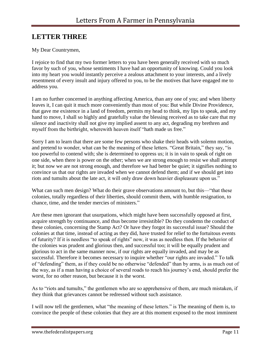# <span id="page-11-0"></span>**LETTER THREE**

### My Dear Countrymen,

I rejoice to find that my two former letters to you have been generally received with so much favor by such of you, whose sentiments I have had an opportunity of knowing. Could you look into my heart you would instantly perceive a zealous attachment to your interests, and a lively resentment of every insult and injury offered to you, to be the motives that have engaged me to address you.

I am no further concerned in anything affecting America, than any one of you; and when liberty leaves it, I can quit it much more conveniently than most of you: But while Divine Providence, that gave me existence in a land of freedom, permits my head to think, my lips to speak, and my hand to move, I shall so highly and gratefully value the blessing received as to take care that my silence and inactivity shall not give my implied assent to any act, degrading my brethren and myself from the birthright, wherewith heaven itself "hath made us free."

Sorry I am to learn that there are some few persons who shake their heads with solemn motion, and pretend to wonder, what can be the meaning of these letters. "Great Britain," they say, "is too powerful to contend with; she is determined to oppress us; it is in vain to speak of right on one side, when there is power on the other; when we are strong enough to resist we shall attempt it; but now we are not strong enough, and therefore we had better be quiet; it signifies nothing to convince us that our rights are invaded when we cannot defend them; and if we should get into riots and tumults about the late act, it will only draw down heavier displeasure upon us."

What can such men design? What do their grave observations amount to, but this—"that these colonies, totally regardless of their liberties, should commit them, with humble resignation, to chance, time, and the tender mercies of ministers."

Are these men ignorant that usurpations, which might have been successfully opposed at first, acquire strength by continuance, and thus become irresistible? Do they condemn the conduct of these colonies, concerning the Stamp Act? Or have they forgot its successful issue? Should the colonies at that time, instead of acting as they did, have trusted for relief to the fortuitous events of futurity? If it is needless "to speak of rights" now, it was as needless then. If the behavior of the colonies was prudent and glorious then, and successful too; it will be equally prudent and glorious to act in the same manner now, if our rights are equally invaded, and may be as successful. Therefore it becomes necessary to inquire whether "our rights are invaded." To talk of "defending" them, as if they could be no otherwise "defended" than by arms, is as much out of the way, as if a man having a choice of several roads to reach his journey's end, should prefer the worst, for no other reason, but because it is the worst.

As to "riots and tumults," the gentlemen who are so apprehensive of them, are much mistaken, if they think that grievances cannot be redressed without such assistance.

I will now tell the gentlemen, what "the meaning of these letters." is The meaning of them is, to convince the people of these colonies that they are at this moment exposed to the most imminent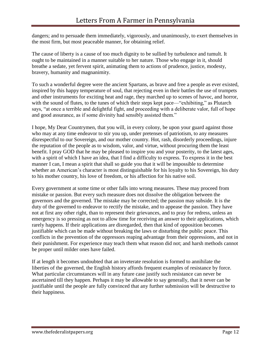dangers; and to persuade them immediately, vigorously, and unanimously, to exert themselves in the most firm, but most peaceable manner, for obtaining relief.

The cause of liberty is a cause of too much dignity to be sullied by turbulence and tumult. It ought to be maintained in a manner suitable to her nature. Those who engage in it, should breathe a sedate, yet fervent spirit, animating them to actions of prudence, justice, modesty, bravery, humanity and magnanimity.

To such a wonderful degree were the ancient Spartans, as brave and free a people as ever existed, inspired by this happy temperature of soul, that rejecting even in their battles the use of trumpets and other instruments for exciting heat and rage, they marched up to scenes of havoc, and horror, with the sound of flutes, to the tunes of which their steps kept pace—"exhibiting," as Plutarch says, "at once a terrible and delightful fight, and proceeding with a deliberate valor, full of hope and good assurance, as if some divinity had sensibly assisted them."

I hope, My Dear Countrymen, that you will, in every colony, be upon your guard against those who may at any time endeavor to stir you up, under pretenses of patriotism, to any measures disrespectful to our Sovereign, and our mother country. Hot, rash, disorderly proceedings, injure the reputation of the people as to wisdom, valor, and virtue, without procuring them the least benefit. I pray GOD that he may be pleased to inspire you and your posterity, to the latest ages, with a spirit of which I have an idea, that I find a difficulty to express. To express it in the best manner I can, I mean a spirit that shall so guide you that it will be impossible to determine whether an American's character is most distinguishable for his loyalty to his Sovereign, his duty to his mother country, his love of freedom, or his affection for his native soil.

Every government at some time or other falls into wrong measures. These may proceed from mistake or passion. But every such measure does not dissolve the obligation between the governors and the governed. The mistake may be corrected; the passion may subside. It is the duty of the governed to endeavor to rectify the mistake, and to appease the passion. They have not at first any other right, than to represent their grievances, and to pray for redress, unless an emergency is so pressing as not to allow time for receiving an answer to their applications, which rarely happens. If their applications are disregarded, then that kind of opposition becomes justifiable which can be made without breaking the laws or disturbing the public peace. This conflicts in the prevention of the oppressors reaping advantage from their oppressions, and not in their punishment. For experience may teach them what reason did not; and harsh methods cannot be proper until milder ones have failed.

If at length it becomes undoubted that an inveterate resolution is formed to annihilate the liberties of the governed, the English history affords frequent examples of resistance by force. What particular circumstances will in any future case justify such resistance can never be ascertained till they happen. Perhaps it may be allowable to say generally, that it never can be justifiable until the people are fully convinced that any further submission will be destructive to their happiness.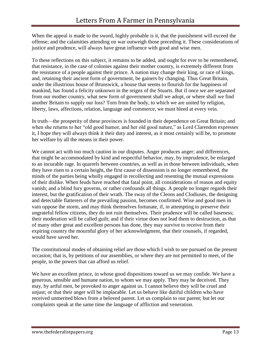When the appeal is made to the sword, highly probable is it, that the punishment will exceed the offense; and the calamities attending on war outweigh those preceding it. These considerations of justice and prudence, will always have great influence with good and wise men.

To these reflections on this subject, it remains to be added, and ought for ever to be remembered, that resistance, in the case of colonies against their mother country, is extremely different from the resistance of a people against their prince. A nation may change their king, or race of kings, and, retaining their ancient form of government, be gainers by changing. Thus Great Britain, under the illustrious house of Brunswick, a house that seems to flourish for the happiness of mankind, has found a felicity unknown in the reigns of the Stuarts. But if once we are separated from our mother country, what new form of government shall we adopt, or where shall we find another Britain to supply our loss? Torn from the body, to which we are united by religion, liberty, laws, affections, relation, language and commerce, we must bleed at every vein.

In truth—the prosperity of these provinces is founded in their dependence on Great Britain; and when she returns to her "old good humor, and her old good nature," as Lord Clarendon expresses it, I hope they will always think it their duty and interest, as it most certainly will be, to promote her welfare by all the means in their power.

We cannot act with too much caution in our disputes. Anger produces anger; and differences, that might be accommodated by kind and respectful behavior, may, by imprudence, be enlarged to an incurable rage. In quarrels between countries, as well as in those between individuals, when they have risen to a certain height, the first cause of dissension is no longer remembered, the minds of the parties being wholly engaged in recollecting and resenting the mutual expressions of their dislike. When feuds have reached that fatal point, all considerations of reason and equity vanish; and a blind fury governs, or rather confounds all things. A people no longer regards their interest, but the gratification of their wrath. The sway of the Cleons and Clodiuses, the designing and detectable flatterers of the prevailing passion, becomes confirmed. Wise and good men in vain oppose the storm, and may think themselves fortunate, if, in attempting to preserve their ungrateful fellow citizens, they do not ruin themselves. Their prudence will be called baseness; their moderation will be called guilt; and if their virtue does not lead them to destruction, as that of many other great and excellent persons has done, they may survive to receive from their expiring country the mournful glory of her acknowledgment, that their counsels, if regarded, would have saved her.

The constitutional modes of obtaining relief are those which I wish to see pursued on the present occasion; that is, by petitions of our assemblies, or where they are not permitted to meet, of the people, to the powers that can afford us relief.

We have an excellent prince, in whose good dispositions toward us we may confide. We have a generous, sensible and humane nation, to whom we may apply. They may be deceived. They may, by artful men, be provoked to anger against us. I cannot believe they will be cruel and unjust; or that their anger will be implacable. Let us behave like dutiful children who have received unmerited blows from a beloved parent. Let us complain to our parent; but let our complaints speak at the same time the language of affliction and veneration.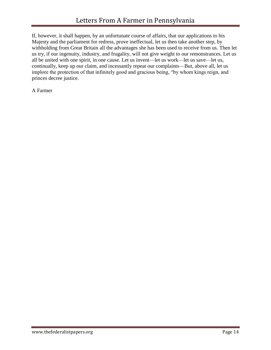If, however, it shall happen, by an unfortunate course of affairs, that our applications to his Majesty and the parliament for redress, prove ineffectual, let us then take another step, by withholding from Great Britain all the advantages she has been used to receive from us. Then let us try, if our ingenuity, industry, and frugality, will not give weight to our remonstrances. Let us all be united with one spirit, in one cause. Let us invent—let us work—let us save—let us, continually, keep up our claim, and incessantly repeat our complaints—But, above all, let us implore the protection of that infinitely good and gracious being, "by whom kings reign, and princes decree justice.

A Farmer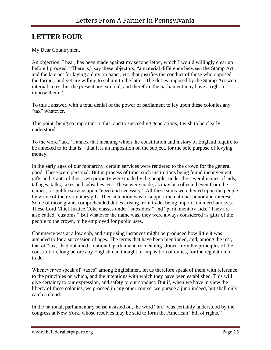# <span id="page-15-0"></span>**LETTER FOUR**

My Dear Countrymen,

An objection, I hear, has been made against my second letter, which I would willingly clear up before I proceed. "There is," say these objectors, "a material difference between the Stamp Act and the late act for laying a duty on paper, etc. that justifies the conduct of those who opposed the former, and yet are willing to submit to the latter. The duties imposed by the Stamp Act were internal taxes; but the present are external, and therefore the parliament may have a right to impose them."

To this I answer, with a total denial of the power of parliament to lay upon these colonies any "tax" whatever.

This point, being so important to this, and to succeeding generations, I wish to be clearly understood.

To the word "tax," I annex that meaning which the constitution and history of England require to be annexed to it; that is—that it is an imposition on the subject, for the sole purpose of levying money.

In the early ages of our monarchy, certain services were rendered to the crown for the general good. These were personal: But in process of time, such institutions being found inconvenient, gifts and grants of their own property were made by the people, under the several names of aids, tallages, talks, taxes and subsidies, etc. These were made, as may be collected even from the names, for public service upon "need and necessity." All these sums were levied upon the people by virtue of their voluntary gift. Their intention was to support the national honor and interest. Some of those grants comprehended duties arising from trade; being imports on merchandizes. These Lord Chief Justice Coke classes under "subsidies," and "parliamentary aids." They are also called "customs." But whatever the name was, they were always considered as gifts of the people to the crown, to be employed for public uses.

Commerce was at a low ebb, and surprising instances might be produced how little it was attended to for a succession of ages. The terms that have been mentioned, and, among the rest, that of "tax," had obtained a national, parliamentary meaning, drawn from the principles of the constitution, long before any Englishman thought of imposition of duties, for the regulation of trade.

Whenever we speak of "taxes" among Englishmen, let us therefore speak of them with reference to the principles on which, and the intentions with which they have been established. This will give certainty to our expression, and safety to our conduct: But if, when we have in view the liberty of these colonies, we proceed in any other course, we pursue a juno indeed, but shall only catch a cloud.

In the national, parliamentary sense insisted on, the word "tax" was certainly understood by the congress at New York, whose resolves may be said to form the American "bill of rights."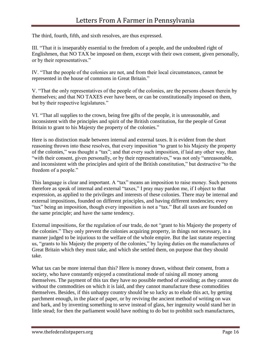The third, fourth, fifth, and sixth resolves, are thus expressed.

III. "That it is inseparably essential to the freedom of a people, and the undoubted right of Englishmen, that NO TAX be imposed on them, except with their own consent, given personally, or by their representatives."

IV. "That the people of the colonies are not, and from their local circumstances, cannot be represented in the house of commons in Great Britain."

V. "That the only representatives of the people of the colonies, are the persons chosen therein by themselves; and that NO TAXES ever have been, or can be constitutionally imposed on them, but by their respective legislatures."

VI. "That all supplies to the crown, being free gifts of the people, it is unreasonable, and inconsistent with the principles and spirit of the British constitution, for the people of Great Britain to grant to his Majesty the property of the colonies."

Here is no distinction made between internal and external taxes. It is evident from the short reasoning thrown into these resolves, that every imposition "to grant to his Majesty the property of the colonies," was thought a "tax"; and that every such imposition, if laid any other way, than "with their consent, given personally, or by their representatives," was not only "unreasonable, and inconsistent with the principles and spirit of the British constitution," but destructive "to the freedom of a people."

This language is clear and important. A "tax" means an imposition to raise money. Such persons therefore as speak of internal and external "taxes," I pray may pardon me, if I object to that expression, as applied to the privileges and interests of these colonies. There may be internal and external impositions, founded on different principles, and having different tendencies; every "tax" being an imposition, though every imposition is not a "tax." But all taxes are founded on the same principle; and have the same tendency.

External impositions, for the regulation of our trade, do not "grant to his Majesty the property of the colonies." They only prevent the colonies acquiring property, in things not necessary, in a manner judged to be injurious to the welfare of the whole empire. But the last statute respecting us, "grants to his Majesty the property of the colonies," by laying duties on the manufactures of Great Britain which they must take, and which she settled them, on purpose that they should take.

What tax can be more internal than this? Here is money drawn, without their consent, from a society, who have constantly enjoyed a constitutional mode of raising all money among themselves. The payment of this tax they have no possible method of avoiding; as they cannot do without the commodities on which it is laid, and they cannot manufacture these commodities themselves. Besides, if this unhappy country should be so lucky as to elude this act, by getting parchment enough, in the place of paper, or by reviving the ancient method of writing on wax and bark, and by inventing something to serve instead of glass, her ingenuity would stand her in little stead; for then the parliament would have nothing to do but to prohibit such manufactures,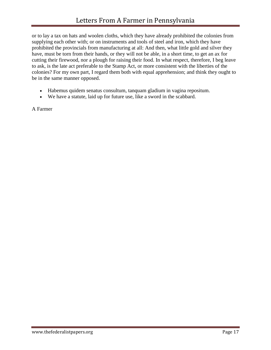or to lay a tax on hats and woolen cloths, which they have already prohibited the colonies from supplying each other with; or on instruments and tools of steel and iron, which they have prohibited the provincials from manufacturing at all: And then, what little gold and silver they have, must be torn from their hands, or they will not be able, in a short time, to get an ax for cutting their firewood, nor a plough for raising their food. In what respect, therefore, I beg leave to ask, is the late act preferable to the Stamp Act, or more consistent with the liberties of the colonies? For my own part, I regard them both with equal apprehension; and think they ought to be in the same manner opposed.

- Habemus quidem senatus consultum, tanquam gladium in vagina repositum.
- We have a statute, laid up for future use, like a sword in the scabbard.

A Farmer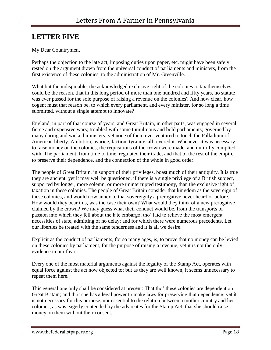# <span id="page-18-0"></span>**LETTER FIVE**

### My Dear Countrymen,

Perhaps the objection to the late act, imposing duties upon paper, etc. might have been safely rested on the argument drawn from the universal conduct of parliaments and ministers, from the first existence of these colonies, to the administration of Mr. Greenville.

What but the indisputable, the acknowledged exclusive right of the colonies to tax themselves, could be the reason, that in this long period of more than one hundred and fifty years, no statute was ever passed for the sole purpose of raising a revenue on the colonies? And how clear, how cogent must that reason be, to which every parliament, and every minister, for so long a time submitted, without a single attempt to innovate?

England, in part of that course of years, and Great Britain, in other parts, was engaged in several fierce and expensive wars; troubled with some tumultuous and bold parliaments; governed by many daring and wicked ministers; yet none of them ever ventured to touch the Palladium of American liberty. Ambition, avarice, faction, tyranny, all revered it. Whenever it was necessary to raise money on the colonies, the requisitions of the crown were made, and dutifully complied with. The parliament, from time to time, regulated their trade, and that of the rest of the empire, to preserve their dependence, and the connection of the whole in good order.

The people of Great Britain, in support of their privileges, boast much of their antiquity. It is true they are ancient; yet it may well be questioned, if there is a single privilege of a British subject, supported by longer, more solemn, or more uninterrupted testimony, than the exclusive right of taxation in these colonies. The people of Great Britain consider that kingdom as the sovereign of these colonies, and would now annex to that sovereignty a prerogative never heard of before. How would they bear this, was the case their own? What would they think of a new prerogative claimed by the crown? We may guess what their conduct would be, from the transports of passion into which they fell about the late embargo, tho' laid to relieve the most emergent necessities of state, admitting of no delay; and for which there were numerous precedents. Let our liberties be treated with the same tenderness and it is all we desire.

Explicit as the conduct of parliaments, for so many ages, is, to prove that no money can be levied on these colonies by parliament, for the purpose of raising a revenue, yet it is not the only evidence in our favor.

Every one of the most material arguments against the legality of the Stamp Act, operates with equal force against the act now objected to; but as they are well known, it seems unnecessary to repeat them here.

This general one only shall be considered at present: That tho' these colonies are dependent on Great Britain; and tho' she has a legal power to make laws for preserving that dependence; yet it is not necessary for this purpose, nor essential to the relation between a mother country and her colonies, as was eagerly contended by the advocates for the Stamp Act, that she should raise money on them without their consent.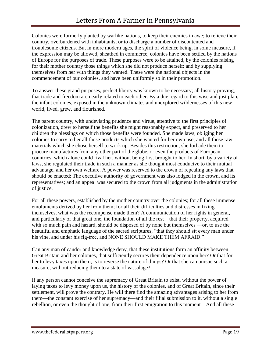Colonies were formerly planted by warlike nations, to keep their enemies in awe; to relieve their country, overburdened with inhabitants; or to discharge a number of discontented and troublesome citizens. But in more modern ages, the spirit of violence being, in some measure, if the expression may be allowed, sheathed in commerce, colonies have been settled by the nations of Europe for the purposes of trade. These purposes were to be attained, by the colonies raising for their mother country those things which she did not produce herself; and by supplying themselves from her with things they wanted. These were the national objects in the commencement of our colonies, and have been uniformly so in their promotion.

To answer these grand purposes, perfect liberty was known to be necessary; all history proving, that trade and freedom are nearly related to each other. By a due regard to this wise and just plan, the infant colonies, exposed in the unknown climates and unexplored wildernesses of this new world, lived, grew, and flourished.

The parent country, with undeviating prudence and virtue, attentive to the first principles of colonization, drew to herself the benefits she might reasonably expect, and preserved to her children the blessings on which those benefits were founded. She made laws, obliging her colonies to carry to her all those products which she wanted for her own use; and all those raw materials which she chose herself to work up. Besides this restriction, she forbade them to procure manufactures from any other part of the globe, or even the products of European countries, which alone could rival her, without being first brought to her. In short, by a variety of laws, she regulated their trade in such a manner as she thought most conducive to their mutual advantage, and her own welfare. A power was reserved to the crown of repealing any laws that should be enacted: The executive authority of government was also lodged in the crown, and its representatives; and an appeal was secured to the crown from all judgments in the administration of justice.

For all these powers, established by the mother country over the colonies; for all these immense emoluments derived by her from them; for all their difficulties and distresses in fixing themselves, what was the recompense made them? A communication of her rights in general, and particularly of that great one, the foundation of all the rest—that their property, acquired with so much pain and hazard, should be disposed of by none but themselves —or, to use the beautiful and emphatic language of the sacred scriptures, "that they should sit every man under his vine, and under his fig-tree, and NONE SHOULD MAKE THEM AFRAID."

Can any man of candor and knowledge deny, that these institutions form an affinity between Great Britain and her colonies, that sufficiently secures their dependence upon her? Or that for her to levy taxes upon them, is to reverse the nature of things? Or that she can pursue such a measure, without reducing them to a state of vassalage?

If any person cannot conceive the supremacy of Great Britain to exist, without the power of laying taxes to levy money upon us, the history of the colonies, and of Great Britain, since their settlement, will prove the contrary. He will there find the amazing advantages arising to her from them—the constant exercise of her supremacy—and their filial submission to it, without a single rebellion, or even the thought of one, from their first emigration to this moment—And all these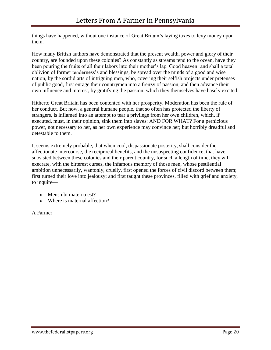things have happened, without one instance of Great Britain's laying taxes to levy money upon them.

How many British authors have demonstrated that the present wealth, power and glory of their country, are founded upon these colonies? As constantly as streams tend to the ocean, have they been pouring the fruits of all their labors into their mother's lap. Good heaven! and shall a total oblivion of former tenderness's and blessings, be spread over the minds of a good and wise nation, by the sordid arts of intriguing men, who, covering their selfish projects under pretenses of public good, first enrage their countrymen into a frenzy of passion, and then advance their own influence and interest, by gratifying the passion, which they themselves have basely excited.

Hitherto Great Britain has been contented with her prosperity. Moderation has been the rule of her conduct. But now, a general humane people, that so often has protected the liberty of strangers, is inflamed into an attempt to tear a privilege from her own children, which, if executed, must, in their opinion, sink them into slaves: AND FOR WHAT? For a pernicious power, not necessary to her, as her own experience may convince her; but horribly dreadful and detestable to them.

It seems extremely probable, that when cool, dispassionate posterity, shall consider the affectionate intercourse, the reciprocal benefits, and the unsuspecting confidence, that have subsisted between these colonies and their parent country, for such a length of time, they will execrate, with the bitterest curses, the infamous memory of those men, whose pestilential ambition unnecessarily, wantonly, cruelly, first opened the forces of civil discord between them; first turned their love into jealousy; and first taught these provinces, filled with grief and anxiety, to inquire—

- Mens ubi materna est?
- Where is maternal affection?

### A Farmer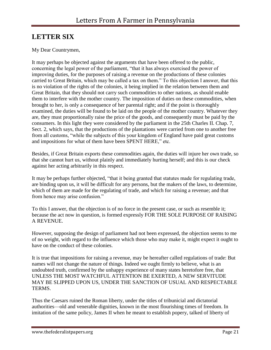# <span id="page-21-0"></span>**LETTER SIX**

### My Dear Countrymen,

It may perhaps be objected against the arguments that have been offered to the public, concerning the legal power of the parliament, "that it has always exercised the power of improving duties, for the purposes of raising a revenue on the productions of these colonies carried to Great Britain, which may be called a tax on them." To this objection I answer, that this is no violation of the rights of the colonies, it being implied in the relation between them and Great Britain, that they should not carry such commodities to other nations, as should enable them to interfere with the mother country. The imposition of duties on these commodities, when brought to her, is only a consequence of her parental right; and if the point is thoroughly examined, the duties will be found to be laid on the people of the mother country. Whatever they are, they must proportionally raise the price of the goods, and consequently must be paid by the consumers. In this light they were considered by the parliament in the 25th Charles II. Chap. 7, Sect. 2, which says, that the productions of the plantations were carried from one to another free from all customs, "while the subjects of this your kingdom of England have paid great customs and impositions for what of them have been SPENT HERE," etc.

Besides, if Great Britain exports these commodities again, the duties will injure her own trade, so that she cannot hurt us, without plainly and immediately hurting herself; and this is our check against her acting arbitrarily in this respect.

It may be perhaps further objected, "that it being granted that statutes made for regulating trade, are binding upon us, it will be difficult for any persons, but the makers of the laws, to determine, which of them are made for the regulating of trade, and which for raising a revenue; and that from hence may arise confusion."

To this I answer, that the objection is of no force in the present case, or such as resemble it; because the act now in question, is formed expressly FOR THE SOLE PURPOSE OF RAISING A REVENUE.

However, supposing the design of parliament had not been expressed, the objection seems to me of no weight, with regard to the influence which those who may make it, might expect it ought to have on the conduct of these colonies.

It is true that impositions for raising a revenue, may be hereafter called regulations of trade: But names will not change the nature of things. Indeed we ought firmly to believe, what is an undoubted truth, confirmed by the unhappy experience of many states heretofore free, that UNLESS THE MOST WATCHFUL ATTENTION BE EXERTED, A NEW SERVITUDE MAY BE SLIPPED UPON US, UNDER THE SANCTION OF USUAL AND RESPECTABLE TERMS.

Thus the Caesars ruined the Roman liberty, under the titles of tribunicial and dictatorial authorities—old and venerable dignities, known in the most flourishing times of freedom. In imitation of the same policy, James II when he meant to establish popery, talked of liberty of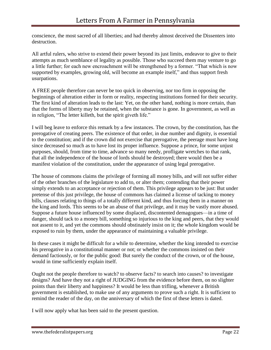conscience, the most sacred of all liberties; and had thereby almost deceived the Dissenters into destruction.

All artful rulers, who strive to extend their power beyond its just limits, endeavor to give to their attempts as much semblance of legality as possible. Those who succeed them may venture to go a little further; for each new encroachment will be strengthened by a former. "That which is now supported by examples, growing old, will become an example itself," and thus support fresh usurpations.

A FREE people therefore can never be too quick in observing, nor too firm in opposing the beginnings of alteration either in form or reality, respecting institutions formed for their security. The first kind of alteration leads to the last: Yet, on the other hand, nothing is more certain, than that the forms of liberty may be retained, when the substance is gone. In government, as well as in religion, "The letter killeth, but the spirit giveth life."

I will beg leave to enforce this remark by a few instances. The crown, by the constitution, has the prerogative of creating peers. The existence of that order, in due number and dignity, is essential to the constitution; and if the crown did not exercise that prerogative, the peerage must have long since decreased so much as to have lost its proper influence. Suppose a prince, for some unjust purposes, should, from time to time, advance so many needy, profligate wretches to that rank, that all the independence of the house of lords should be destroyed; there would then be a manifest violation of the constitution, under the appearance of using legal prerogative.

The house of commons claims the privilege of forming all money bills, and will not suffer either of the other branches of the legislature to add to, or alter them; contending that their power simply extends to an acceptance or rejection of them. This privilege appears to be just: But under pretense of this just privilege, the house of commons has claimed a license of tacking to money bills, clauses relating to things of a totally different kind, and thus forcing them in a manner on the king and lords. This seems to be an abuse of that privilege, and it may be vastly more abused. Suppose a future house influenced by some displaced, discontented demagogues—in a time of danger, should tack to a money bill, something so injurious to the king and peers, that they would not assent to it, and yet the commons should obstinately insist on it; the whole kingdom would be exposed to ruin by them, under the appearance of maintaining a valuable privilege.

In these cases it might be difficult for a while to determine, whether the king intended to exercise his prerogative in a constitutional manner or not; or whether the commons insisted on their demand factiously, or for the public good: But surely the conduct of the crown, or of the house, would in time sufficiently explain itself.

Ought not the people therefore to watch? to observe facts? to search into causes? to investigate designs? And have they not a right of JUDGING from the evidence before them, on no slighter points than their liberty and happiness? It would be less than trifling, whenever a British government is established, to make use of any arguments to prove such a right. It is sufficient to remind the reader of the day, on the anniversary of which the first of these letters is dated.

I will now apply what has been said to the present question.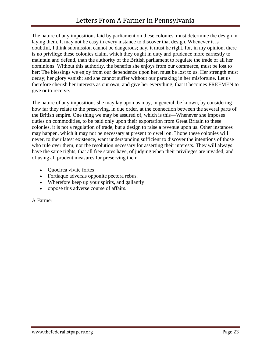The nature of any impositions laid by parliament on these colonies, must determine the design in laying them. It may not be easy in every instance to discover that design. Whenever it is doubtful, I think submission cannot be dangerous; nay, it must be right, for, in my opinion, there is no privilege these colonies claim, which they ought in duty and prudence more earnestly to maintain and defend, than the authority of the British parliament to regulate the trade of all her dominions. Without this authority, the benefits she enjoys from our commerce, must be lost to her: The blessings we enjoy from our dependence upon her, must be lost to us. Her strength must decay; her glory vanish; and she cannot suffer without our partaking in her misfortune. Let us therefore cherish her interests as our own, and give her everything, that it becomes FREEMEN to give or to receive.

The nature of any impositions she may lay upon us may, in general, be known, by considering how far they relate to the preserving, in due order, at the connection between the several parts of the British empire. One thing we may be assured of, which is this—Whenever she imposes duties on commodities, to be paid only upon their exportation from Great Britain to these colonies, it is not a regulation of trade, but a design to raise a revenue upon us. Other instances may happen, which it may not be necessary at present to dwell on. I hope these colonies will never, to their latest existence, want understanding sufficient to discover the intentions of those who rule over them, nor the resolution necessary for asserting their interests. They will always have the same rights, that all free states have, of judging when their privileges are invaded, and of using all prudent measures for preserving them.

- Quocirca vivite fortes
- Fortiaque adversis opponite pectora rebus.
- Wherefore keep up your spirits, and gallantly
- oppose this adverse course of affairs.

A Farmer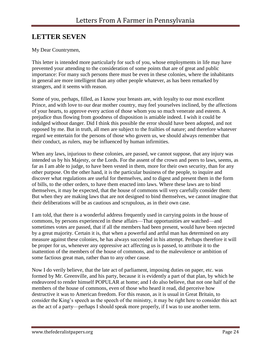# <span id="page-24-0"></span>**LETTER SEVEN**

### My Dear Countrymen,

This letter is intended more particularly for such of you, whose employments in life may have prevented your attending to the consideration of some points that are of great and public importance: For many such persons there must be even in these colonies, where the inhabitants in general are more intelligent than any other people whatever, as has been remarked by strangers, and it seems with reason.

Some of you, perhaps, filled, as I know your breasts are, with loyalty to our most excellent Prince, and with love to our dear mother country, may feel yourselves inclined, by the affections of your hearts, to approve every action of those whom you so much venerate and esteem. A prejudice thus flowing from goodness of disposition is amiable indeed. I wish it could be indulged without danger. Did I think this possible the error should have been adopted, and not opposed by me. But in truth, all men are subject to the frailties of nature; and therefore whatever regard we entertain for the persons of those who govern us, we should always remember that their conduct, as rulers, may be influenced by human infirmities.

When any laws, injurious to these colonies, are passed, we cannot suppose, that any injury was intended us by his Majesty, or the Lords. For the assent of the crown and peers to laws, seems, as far as I am able to judge, to have been vested in them, more for their own security, than for any other purpose. On the other hand, it is the particular business of the people, to inquire and discover what regulations are useful for themselves, and to digest and present them in the form of bills, to the other orders, to have them enacted into laws. Where these laws are to bind themselves, it may be expected, that the house of commons will very carefully consider them: But when they are making laws that are not designed to bind themselves, we cannot imagine that their deliberations will be as cautious and scrupulous, as in their own case.

I am told, that there is a wonderful address frequently used in carrying points in the house of commons, by persons experienced in these affairs—That opportunities are watched—and sometimes votes are passed, that if all the members had been present, would have been rejected by a great majority. Certain it is, that when a powerful and artful man has determined on any measure against these colonies, he has always succeeded in his attempt. Perhaps therefore it will be proper for us, whenever any oppressive act affecting us is passed, to attribute it to the inattention of the members of the house of commons, and to the malevolence or ambition of some factious great man, rather than to any other cause.

Now I do verily believe, that the late act of parliament, imposing duties on paper, etc. was formed by Mr. Greenville, and his party, because it is evidently a part of that plan, by which he endeavored to render himself POPULAR at home; and I do also believe, that not one half of the members of the house of commons, even of those who heard it read, did perceive how destructive it was to American freedom. For this reason, as it is usual in Great Britain, to consider the King's speech as the speech of the ministry, it may be right here to consider this act as the act of a party—perhaps I should speak more properly, if I was to use another term.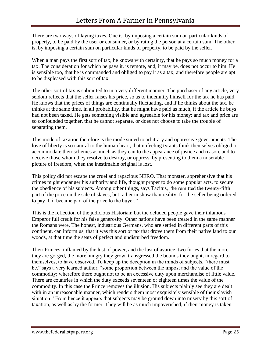There are two ways of laying taxes. One is, by imposing a certain sum on particular kinds of property, to be paid by the user or consumer, or by rating the person at a certain sum. The other is, by imposing a certain sum on particular kinds of property, to be paid by the seller.

When a man pays the first sort of tax, he knows with certainty, that he pays so much money for a tax. The consideration for which he pays it, is remote, and, it may be, does not occur to him. He is sensible too, that he is commanded and obliged to pay it as a tax; and therefore people are apt to be displeased with this sort of tax.

The other sort of tax is submitted to in a very different manner. The purchaser of any article, very seldom reflects that the seller raises his price, so as to indemnify himself for the tax he has paid. He knows that the prices of things are continually fluctuating, and if he thinks about the tax, he thinks at the same time, in all probability, that he might have paid as much, if the article he buys had not been taxed. He gets something visible and agreeable for his money; and tax and price are so confounded together, that he cannot separate, or does not choose to take the trouble of separating them.

This mode of taxation therefore is the mode suited to arbitrary and oppressive governments. The love of liberty is so natural to the human heart, that unfeeling tyrants think themselves obliged to accommodate their schemes as much as they can to the appearance of justice and reason, and to deceive those whom they resolve to destroy, or oppress, by presenting to them a miserable picture of freedom, when the inestimable original is lost.

This policy did not escape the cruel and rapacious NERO. That monster, apprehensive that his crimes might endanger his authority and life, thought proper to do some popular acts, to secure the obedience of his subjects. Among other things, says Tacitus, "he remitted the twenty-fifth part of the price on the sale of slaves, but rather in show than reality; for the seller being ordered to pay it, it became part of the price to the buyer."

This is the reflection of the judicious Historian; but the deluded people gave their infamous Emperor full credit for his false generosity. Other nations have been treated in the same manner the Romans were. The honest, industrious Germans, who are settled in different parts of this continent, can inform us, that it was this sort of tax that drove them from their native land to our woods, at that time the seats of perfect and undisturbed freedom.

Their Princes, inflamed by the lust of power, and the lust of avarice, two furies that the more they are gorged, the more hungry they grow, transgressed the bounds they ought, in regard to themselves, to have observed. To keep up the deception in the minds of subjects, "there must be," says a very learned author, "some proportion between the impost and the value of the commodity; wherefore there ought not to be an excessive duty upon merchandise of little value. There are countries in which the duty exceeds seventeen or eighteen times the value of the commodity. In this case the Prince removes the illusion. His subjects plainly see they are dealt with in an unreasonable manner, which renders them most exquisitely sensible of their slavish situation." From hence it appears that subjects may be ground down into misery by this sort of taxation, as well as by the former. They will be as much impoverished, if their money is taken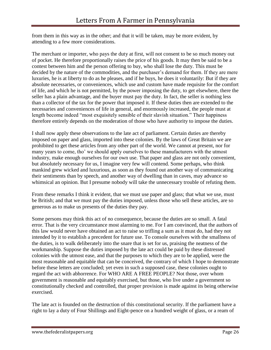from them in this way as in the other; and that it will be taken, may be more evident, by attending to a few more considerations.

The merchant or importer, who pays the duty at first, will not consent to be so much money out of pocket. He therefore proportionally raises the price of his goods. It may then be said to be a contest between him and the person offering to buy, who shall lose the duty. This must be decided by the nature of the commodities, and the purchaser's demand for them. If they are mere luxuries, he is at liberty to do as he pleases, and if he buys, he does it voluntarily: But if they are absolute necessaries, or conveniences, which use and custom have made requisite for the comfort of life, and which he is not permitted, by the power imposing the duty, to get elsewhere, there the seller has a plain advantage, and the buyer must pay the duty. In fact, the seller is nothing less than a collector of the tax for the power that imposed it. If these duties then are extended to the necessaries and conveniences of life in general, and enormously increased, the people must at length become indeed "most exquisitely sensible of their slavish situation." Their happiness therefore entirely depends on the moderation of those who have authority to impose the duties.

I shall now apply these observations to the late act of parliament. Certain duties are thereby imposed on paper and glass, imported into these colonies. By the laws of Great Britain we are prohibited to get these articles from any other part of the world. We cannot at present, nor for many years to come, tho' we should apply ourselves to these manufacturers with the utmost industry, make enough ourselves for our own use. That paper and glass are not only convenient, but absolutely necessary for us, I imagine very few will contend. Some perhaps, who think mankind grew wicked and luxurious, as soon as they found out another way of communicating their sentiments than by speech, and another way of dwelling than in caves, may advance so whimsical an opinion. But I presume nobody will take the unnecessary trouble of refuting them.

From these remarks I think it evident, that we must use paper and glass; that what we use, must be British; and that we must pay the duties imposed, unless those who sell these articles, are so generous as to make us presents of the duties they pay.

Some persons may think this act of no consequence, because the duties are so small. A fatal error. That is the very circumstance most alarming to me. For I am convinced, that the authors of this law would never have obtained an act to raise so trifling a sum as it must do, had they not intended by it to establish a precedent for future use. To console ourselves with the smallness of the duties, is to walk deliberately into the snare that is set for us, praising the neatness of the workmanship. Suppose the duties imposed by the late act could be paid by these distressed colonies with the utmost ease, and that the purposes to which they are to be applied, were the most reasonable and equitable that can be conceived, the contrary of which I hope to demonstrate before these letters are concluded; yet even in such a supposed case, these colonies ought to regard the act with abhorrence. For WHO ARE A FREE PEOPLE? Not those, over whom government is reasonable and equitably exercised, but those, who live under a government so constitutionally checked and controlled, that proper provision is made against its being otherwise exercised.

The late act is founded on the destruction of this constitutional security. If the parliament have a right to lay a duty of Four Shillings and Eight-pence on a hundred weight of glass, or a ream of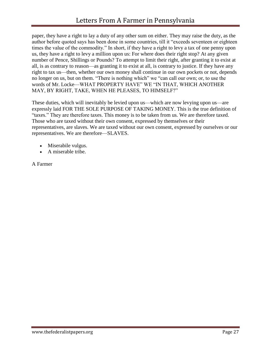paper, they have a right to lay a duty of any other sum on either. They may raise the duty, as the author before quoted says has been done in some countries, till it "exceeds seventeen or eighteen times the value of the commodity." In short, if they have a right to levy a tax of one penny upon us, they have a right to levy a million upon us: For where does their right stop? At any given number of Pence, Shillings or Pounds? To attempt to limit their right, after granting it to exist at all, is as contrary to reason—as granting it to exist at all, is contrary to justice. If they have any right to tax us—then, whether our own money shall continue in our own pockets or not, depends no longer on us, but on them. "There is nothing which" we "can call our own; or, to use the words of Mr. Locke—WHAT PROPERTY HAVE" WE "IN THAT, WHICH ANOTHER MAY, BY RIGHT, TAKE, WHEN HE PLEASES, TO HIMSELF?"

These duties, which will inevitably be levied upon us—which are now levying upon us—are expressly laid FOR THE SOLE PURPOSE OF TAKING MONEY. This is the true definition of "taxes." They are therefore taxes. This money is to be taken from us. We are therefore taxed. Those who are taxed without their own consent, expressed by themselves or their representatives, are slaves. We are taxed without our own consent, expressed by ourselves or our representatives. We are therefore—SLAVES.

- Miserabile vulgus.
- A miserable tribe.

A Farmer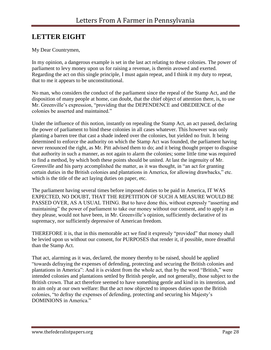# <span id="page-28-0"></span>**LETTER EIGHT**

### My Dear Countrymen,

In my opinion, a dangerous example is set in the last act relating to these colonies. The power of parliament to levy money upon us for raising a revenue, is therein avowed and exerted. Regarding the act on this single principle, I must again repeat, and I think it my duty to repeat, that to me it appears to be unconstitutional.

No man, who considers the conduct of the parliament since the repeal of the Stamp Act, and the disposition of many people at home, can doubt, that the chief object of attention there, is, to use Mr. Greenville's expression, "providing that the DEPENDENCE and OBEDIENCE of the colonies be asserted and maintained."

Under the influence of this notion, instantly on repealing the Stamp Act, an act passed, declaring the power of parliament to bind these colonies in all cases whatever. This however was only planting a barren tree that cast a shade indeed over the colonies, but yielded no fruit. It being determined to enforce the authority on which the Stamp Act was founded, the parliament having never renounced the right, as Mr. Pitt advised them to do; and it being thought proper to disguise that authority in such a manner, as not again to alarm the colonies; some little time was required to find a method, by which both these points should be united. At last the ingenuity of Mr. Greenville and his party accomplished the matter, as it was thought, in "an act for granting certain duties in the British colonies and plantations in America, for allowing drawbacks," etc. which is the title of the act laying duties on paper, etc.

The parliament having several times before imposed duties to be paid in America, IT WAS EXPECTED, NO DOUBT, THAT THE REPETITION OF SUCH A MEASURE WOULD BE PASSED OVER, AS A USUAL THING. But to have done this, without expressly "asserting and maintaining" the power of parliament to take our money without our consent, and to apply it as they please, would not have been, in Mr. Greenville's opinion, sufficiently declarative of its supremacy, nor sufficiently depressive of American freedom.

THEREFORE it is, that in this memorable act we find it expressly "provided" that money shall be levied upon us without our consent, for PURPOSES that render it, if possible, more dreadful than the Stamp Act.

That act, alarming as it was, declared, the money thereby to be raised, should be applied "towards defraying the expenses of defending, protecting and securing the British colonies and plantations in America": And it is evident from the whole act, that by the word "British," were intended colonies and plantations settled by British people, and not generally, those subject to the British crown. That act therefore seemed to have something gentle and kind in its intention, and to aim only at our own welfare: But the act now objected to imposes duties upon the British colonies, "to defray the expenses of defending, protecting and securing his Majesty's DOMINIONS in America."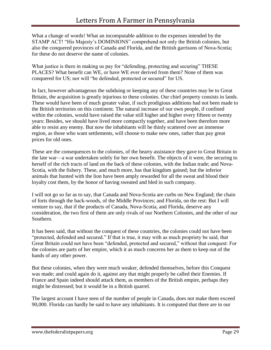What a change of words! What an incomputable addition to the expenses intended by the STAMP ACT! "His Majesty's DOMINIONS" comprehend not only the British colonies, but also the conquered provinces of Canada and Florida, and the British garrisons of Nova-Scotia; for these do not deserve the name of colonies.

What justice is there in making us pay for "defending, protecting and securing" THESE PLACES? What benefit can WE, or have WE ever derived from them? None of them was conquered for US; nor will "be defended, protected or secured" for US.

In fact, however advantageous the subduing or keeping any of these countries may be to Great Britain, the acquisition is greatly injurious to these colonies. Our chief property consists in lands. These would have been of much greater value, if such prodigious additions had not been made to the British territories on this continent. The natural increase of our own people, if confined within the colonies, would have raised the value still higher and higher every fifteen or twenty years: Besides, we should have lived more compactly together, and have been therefore more able to resist any enemy. But now the inhabitants will be thinly scattered over an immense region, as those who want settlements, will choose to make new ones, rather than pay great prices for old ones.

These are the consequences to the colonies, of the hearty assistance they gave to Great Britain in the late war—a war undertaken solely for her own benefit. The objects of it were, the securing to herself of the rich tracts of land on the back of these colonies, with the Indian trade; and Nova-Scotia, with the fishery. These, and much more, has that kingdom gained; but the inferior animals that hunted with the lion have been amply rewarded for all the sweat and blood their loyalty cost them, by the honor of having sweated and bled in such company.

I will not go so far as to say, that Canada and Nova-Scotia are curbs on New England; the chain of forts through the back-woods, of the Middle Provinces; and Florida, on the rest: But I will venture to say, that if the products of Canada, Nova-Scotia, and Florida, deserve any consideration, the two first of them are only rivals of our Northern Colonies, and the other of our Southern.

It has been said, that without the conquest of these countries, the colonies could not have been "protected, defended and secured." If that is true, it may with as much propriety be said, that Great Britain could not have been "defended, protected and secured," without that conquest: For the colonies are parts of her empire, which it as much concerns her as them to keep out of the hands of any other power.

But these colonies, when they were much weaker, defended themselves, before this Conquest was made; and could again do it, against any that might properly be called their Enemies. If France and Spain indeed should attack them, as members of the British empire, perhaps they might be distressed; but it would be in a British quarrel.

The largest account I have seen of the number of people in Canada, does not make them exceed 90,000. Florida can hardly be said to have any inhabitants. It is computed that there are in our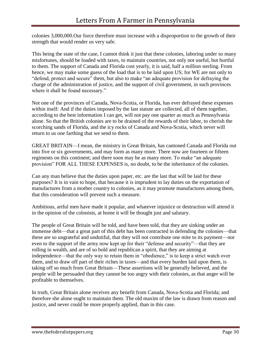colonies 3,000,000.Our force therefore must increase with a disproportion to the growth of their strength that would render us very safe.

This being the state of the case, I cannot think it just that these colonies, laboring under so many misfortunes, should be loaded with taxes, to maintain countries, not only not useful, but hurtful to them. The support of Canada and Florida cost yearly, it is said, half a million sterling. From hence, we may make some guess of the load that is to be laid upon US; for WE are not only to "defend, protect and secure" them, but also to make "an adequate provision for defraying the charge of the administration of justice, and the support of civil government, in such provinces where it shall be found necessary."

Not one of the provinces of Canada, Nova-Scotia, or Florida, has ever defrayed these expenses within itself: And if the duties imposed by the last statute are collected, all of them together, according to the best information I can get, will not pay one quarter as much as Pennsylvania alone. So that the British colonies are to be drained of the rewards of their labor, to cherish the scorching sands of Florida, and the icy rocks of Canada and Nova-Scotia, which never will return to us one farthing that we send to them.

GREAT BRITAIN—I mean, the ministry in Great Britain, has cantoned Canada and Florida out into five or six governments, and may form as many more. There now are fourteen or fifteen regiments on this continent; and there soon may be as many more. To make "an adequate provision" FOR ALL THESE EXPENSES is, no doubt, to be the inheritance of the colonies.

Can any man believe that the duties upon paper, etc. are the last that will be laid for these purposes? It is in vain to hope, that because it is imprudent to lay duties on the exportation of manufactures from a mother country to colonies, as it may promote manufactures among them, that this consideration will prevent such a measure.

Ambitious, artful men have made it popular, and whatever injustice or destruction will attend it in the opinion of the colonists, at home it will be thought just and salutary.

The people of Great Britain will be told, and have been told, that they are sinking under an immense debt—that a great part of this debt has been contracted in defending the colonies—that these are so ungrateful and undutiful, that they will not contribute one mite to its payment—nor even to the support of the army now kept up for their "defense and security"—that they are rolling in wealth, and are of so bold and republican a spirit, that they are aiming at independence—that the only way to retain them in "obedience," is to keep a strict watch over them, and to draw off part of their riches in taxes—and that every burden laid upon them, is taking off so much from Great Britain—These assertions will be generally believed, and the people will be persuaded that they cannot be too angry with their colonies, as that anger will be profitable to themselves.

In truth, Great Britain alone receives any benefit from Canada, Nova-Scotia and Florida; and therefore she alone ought to maintain them. The old maxim of the law is drawn from reason and justice, and never could be more properly applied, than in this case.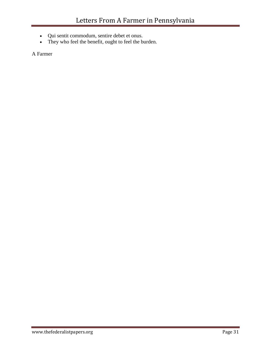- Qui sentit commodum, sentire debet et onus.
- They who feel the benefit, ought to feel the burden.

A Farmer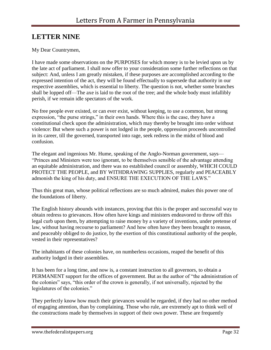## <span id="page-32-0"></span>**LETTER NINE**

### My Dear Countrymen,

I have made some observations on the PURPOSES for which money is to be levied upon us by the late act of parliament. I shall now offer to your consideration some further reflections on that subject: And, unless I am greatly mistaken, if these purposes are accomplished according to the expressed intention of the act, they will be found effectually to supersede that authority in our respective assemblies, which is essential to liberty. The question is not, whether some branches shall be lopped off—The axe is laid to the root of the tree; and the whole body must infallibly perish, if we remain idle spectators of the work.

No free people ever existed, or can ever exist, without keeping, to use a common, but strong expression, "the purse strings," in their own hands. Where this is the case, they have a constitutional check upon the administration, which may thereby be brought into order without violence: But where such a power is not lodged in the people, oppression proceeds uncontrolled in its career, till the governed, transported into rage, seek redress in the midst of blood and confusion.

The elegant and ingenious Mr. Hume, speaking of the Anglo-Norman government, says— "Princes and Ministers were too ignorant, to be themselves sensible of the advantage attending an equitable administration, and there was no established council or assembly, WHICH COULD PROTECT THE PEOPLE, and BY WITHDRAWING SUPPLIES, regularly and PEACEABLY admonish the king of his duty, and ENSURE THE EXECUTION OF THE LAWS."

Thus this great man, whose political reflections are so much admired, makes this power one of the foundations of liberty.

The English history abounds with instances, proving that this is the proper and successful way to obtain redress to grievances. How often have kings and ministers endeavored to throw off this legal curb upon them, by attempting to raise money by a variety of inventions, under pretense of law, without having recourse to parliament? And how often have they been brought to reason, and peaceably obliged to do justice, by the exertion of this constitutional authority of the people, vested in their representatives?

The inhabitants of these colonies have, on numberless occasions, reaped the benefit of this authority lodged in their assemblies.

It has been for a long time, and now is, a constant instruction to all governors, to obtain a PERMANENT support for the offices of government. But as the author of "the administration of the colonies" says, "this order of the crown is generally, if not universally, rejected by the legislatures of the colonies."

They perfectly know how much their grievances would be regarded, if they had no other method of engaging attention, than by complaining. Those who rule, are extremely apt to think well of the constructions made by themselves in support of their own power. These are frequently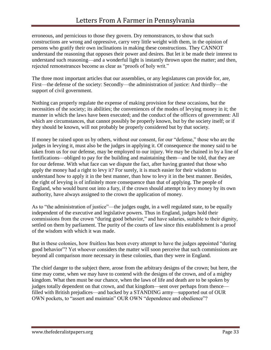erroneous, and pernicious to those they govern. Dry remonstrances, to show that such constructions are wrong and oppressive, carry very little weight with them, in the opinion of persons who gratify their own inclinations in making these constructions. They CANNOT understand the reasoning that opposes their power and desires. But let it be made their interest to understand such reasoning—and a wonderful light is instantly thrown upon the matter; and then, rejected remonstrances become as clear as "proofs of holy writ."

The three most important articles that our assemblies, or any legislatures can provide for, are, First—the defense of the society: Secondly—the administration of justice: And thirdly—the support of civil government.

Nothing can properly regulate the expense of making provision for these occasions, but the necessities of the society; its abilities; the conveniences of the modes of levying money in it; the manner in which the laws have been executed; and the conduct of the officers of government: All which are circumstances, that cannot possibly be properly known, but by the society itself; or if they should be known, will not probably be properly considered but by that society.

If money be raised upon us by others, without our consent, for our "defense," those who are the judges in levying it, must also be the judges in applying it. Of consequence the money said to be taken from us for our defense, may be employed to our injury. We may be chained in by a line of fortifications—obliged to pay for the building and maintaining them—and be told, that they are for our defense. With what face can we dispute the fact, after having granted that those who apply the money had a right to levy it? For surely, it is much easier for their wisdom to understand how to apply it in the best manner, than how to levy it in the best manner. Besides, the right of levying is of infinitely more consequence than that of applying. The people of England, who would burst out into a fury, if the crown should attempt to levy money by its own authority, have always assigned to the crown the application of money.

As to "the administration of justice"—the judges ought, in a well regulated state, to be equally independent of the executive and legislative powers. Thus in England, judges hold their commissions from the crown "during good behavior," and have salaries, suitable to their dignity, settled on them by parliament. The purity of the courts of law since this establishment is a proof of the wisdom with which it was made.

But in these colonies, how fruitless has been every attempt to have the judges appointed "during good behavior"? Yet whoever considers the matter will soon perceive that such commissions are beyond all comparison more necessary in these colonies, than they were in England.

The chief danger to the subject there, arose from the arbitrary designs of the crown; but here, the time may come, when we may have to contend with the designs of the crown, and of a mighty kingdom. What then must be our chance, when the laws of life and death are to be spoken by judges totally dependent on that crown, and that kingdom—sent over perhaps from thence filled with British prejudices—and backed by a STANDING army—supported out of OUR OWN pockets, to "assert and maintain" OUR OWN "dependence and obedience"?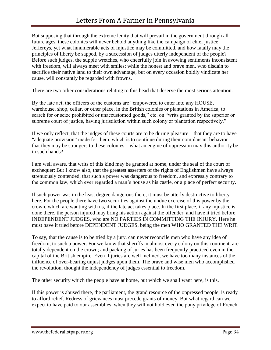But supposing that through the extreme lenity that will prevail in the government through all future ages, these colonies will never behold anything like the campaign of chief justice Jeffereys, yet what innumerable acts of injustice may be committed, and how fatally may the principles of liberty be sapped, by a succession of judges utterly independent of the people? Before such judges, the supple wretches, who cheerfully join in avowing sentiments inconsistent with freedom, will always meet with smiles; while the honest and brave men, who disdain to sacrifice their native land to their own advantage, but on every occasion boldly vindicate her cause, will constantly be regarded with frowns.

There are two other considerations relating to this head that deserve the most serious attention.

By the late act, the officers of the customs are "empowered to enter into any HOUSE, warehouse, shop, cellar, or other place, in the British colonies or plantations in America, to search for or seize prohibited or unaccustomed goods," etc. on "writs granted by the superior or supreme court of justice, having jurisdiction within such colony or plantation respectively."

If we only reflect, that the judges of these courts are to be during pleasure—that they are to have "adequate provision" made for them, which is to continue during their complaisant behavior that they may be strangers to these colonies—what an engine of oppression may this authority be in such hands?

I am well aware, that writs of this kind may be granted at home, under the seal of the court of exchequer: But I know also, that the greatest asserters of the rights of Englishmen have always strenuously contended, that such a power was dangerous to freedom, and expressly contrary to the common law, which ever regarded a man's house as his castle, or a place of perfect security.

If such power was in the least degree dangerous there, it must be utterly destructive to liberty here. For the people there have two securities against the undue exercise of this power by the crown, which are wanting with us, if the late act takes place. In the first place, if any injustice is done there, the person injured may bring his action against the offender, and have it tried before INDEPENDENT JUDGES, who are NO PARTIES IN COMMITTING THE INJURY. Here he must have it tried before DEPENDENT JUDGES, being the men WHO GRANTED THE WRIT.

To say, that the cause is to be tried by a jury, can never reconcile men who have any idea of freedom, to such a power. For we know that sheriffs in almost every colony on this continent, are totally dependent on the crown; and packing of juries has been frequently practiced even in the capital of the British empire. Even if juries are well inclined, we have too many instances of the influence of over-bearing unjust judges upon them. The brave and wise men who accomplished the revolution, thought the independency of judges essential to freedom.

The other security which the people have at home, but which we shall want here, is this.

If this power is abused there, the parliament, the grand resource of the oppressed people, is ready to afford relief. Redress of grievances must precede grants of money. But what regard can we expect to have paid to our assemblies, when they will not hold even the puny privilege of French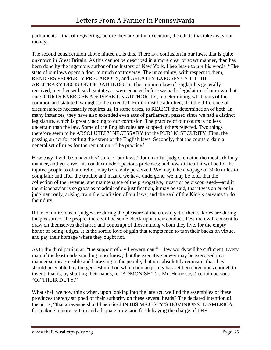parliaments—that of registering, before they are put in execution, the edicts that take away our money.

The second consideration above hinted at, is this. There is a confusion in our laws, that is quite unknown in Great Britain. As this cannot be described in a more clear or exact manner, than has been done by the ingenious author of the history of New York, I beg leave to use his words. "The state of our laws opens a door to much controversy. The uncertainty, with respect to them, RENDERS PROPERTY PRECARIOUS, and GREATLY EXPOSES US TO THE ARBITRARY DECISION OF BAD JUDGES. The common law of England is generally received, together with such statutes as were enacted before we had a legislature of our own; but our COURTS EXERCISE A SOVEREIGN AUTHORITY, in determining what parts of the common and statute law ought to be extended: For it must be admitted, that the difference of circumstances necessarily requires us, in some cases, to REJECT the determination of both. In many instances, they have also extended even acts of parliament, passed since we had a distinct legislature, which is greatly adding to our confusion. The practice of our courts is no less uncertain than the law. Some of the English rules are adopted, others rejected. Two things therefore seem to be ABSOLUTELY NECESSARY for the PUBLIC SECURITY. First, the passing an act for settling the extent of the English laws. Secondly, that the courts ordain a general set of rules for the regulation of the practice."

How easy it will be, under this "state of our laws," for an artful judge, to act in the most arbitrary manner, and yet cover his conduct under specious pretenses; and how difficult it will be for the injured people to obtain relief, may be readily perceived. We may take a voyage of 3000 miles to complain; and after the trouble and hazard we have undergone, we may be told, that the collection of the revenue, and maintenance of the prerogative, must not be discouraged—and if the misbehavior is so gross as to admit of no justification, it may be said, that it was an error in judgment only, arising from the confusion of our laws, and the zeal of the King's servants to do their duty.

If the commissions of judges are during the pleasure of the crown, yet if their salaries are during the pleasure of the people, there will be some check upon their conduct. Few men will consent to draw on themselves the hatred and contempt of those among whom they live, for the empty honor of being judges. It is the sordid love of gain that tempts men to turn their backs on virtue, and pay their homage where they ought not.

As to the third particular, "the support of civil government"—few words will be sufficient. Every man of the least understanding must know, that the executive power may be exercised in a manner so disagreeable and harassing to the people, that it is absolutely requisite, that they should be enabled by the gentlest method which human policy has yet been ingenious enough to invent, that is, by shutting their hands, to "ADMONISH" (as Mr. Hume says) certain persons "OF THEIR DUTY."

What shall we now think when, upon looking into the late act, we find the assemblies of these provinces thereby stripped of their authority on these several heads? The declared intention of the act is, "that a revenue should be raised IN HIS MAJESTY'S DOMINIONS IN AMERICA, for making a more certain and adequate provision for defraying the charge of THE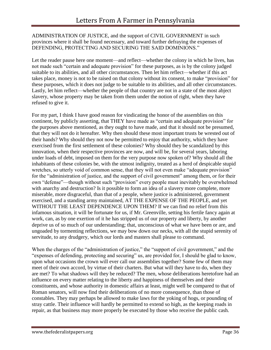### ADMINISTRATION OF JUSTICE, and the support of CIVIL GOVERNMENT in such provinces where it shall be found necessary, and toward further defraying the expenses of DEFENDING, PROTECTING AND SECURING THE SAID DOMINIONS."

Let the reader pause here one moment—and reflect—whether the colony in which he lives, has not made such "certain and adequate provision" for these purposes, as is by the colony judged suitable to its abilities, and all other circumstances. Then let him reflect—whether if this act takes place, money is not to be raised on that colony without its consent, to make "provision" for these purposes, which it does not judge to be suitable to its abilities, and all other circumstances. Lastly, let him reflect—whether the people of that country are not in a state of the most abject slavery, whose property may be taken from them under the notion of right, when they have refused to give it.

For my part, I think I have good reason for vindicating the honor of the assemblies on this continent, by publicly asserting, that THEY have made as "certain and adequate provision" for the purposes above mentioned, as they ought to have made, and that it should not be presumed, that they will not do it hereafter. Why then should these most important trusts be wrested out of their hands? Why should they not now be permitted to enjoy that authority, which they have exercised from the first settlement of these colonies? Why should they be scandalized by this innovation, when their respective provinces are now, and will be, for several years, laboring under loads of debt, imposed on them for the very purpose now spoken of? Why should all the inhabitants of these colonies be, with the utmost indignity, treated as a herd of despicable stupid wretches, so utterly void of common sense, that they will not even make "adequate provision" for the "administration of justice, and the support of civil government" among them, or for their own "defense"—though without such "provision" every people must inevitably be overwhelmed with anarchy and destruction? Is it possible to form an idea of a slavery more complete, more miserable, more disgraceful, than that of a people, where justice is administered, government exercised, and a standing army maintained, AT THE EXPENSE OF THE PEOPLE, and yet WITHOUT THE LEAST DEPENDENCE UPON THEM? If we can find no relief from this infamous situation, it will be fortunate for us, if Mr. Greenville, setting his fertile fancy again at work, can, as by one exertion of it he has stripped us of our property and liberty, by another deprive us of so much of our understanding; that, unconscious of what we have been or are, and ungoaded by tormenting reflections, we may bow down our necks, with all the stupid serenity of servitude, to any drudgery, which our lords and masters shall please to command.

When the charges of the "administration of justice," the "support of civil government," and the "expenses of defending, protecting and securing" us, are provided for, I should be glad to know, upon what occasions the crown will ever call our assemblies together? Some few of them may meet of their own accord, by virtue of their charters. But what will they have to do, when they are met? To what shadows will they be reduced? The men, whose deliberations heretofore had an influence on every matter relating to the liberty and happiness of themselves and their constituents, and whose authority in domestic affairs at least, might well be compared to that of Roman senators, will now find their deliberations of no more consequence, than those of constables. They may perhaps be allowed to make laws for the yoking of hogs, or pounding of stray cattle. Their influence will hardly be permitted to extend so high, as the keeping roads in repair, as that business may more properly be executed by those who receive the public cash.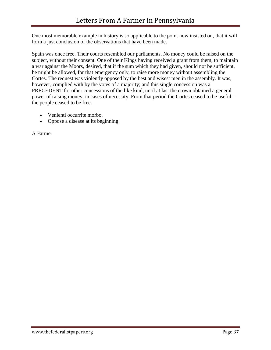One most memorable example in history is so applicable to the point now insisted on, that it will form a just conclusion of the observations that have been made.

Spain was once free. Their courts resembled our parliaments. No money could be raised on the subject, without their consent. One of their Kings having received a grant from them, to maintain a war against the Moors, desired, that if the sum which they had given, should not be sufficient, he might be allowed, for that emergency only, to raise more money without assembling the Cortes. The request was violently opposed by the best and wisest men in the assembly. It was, however, complied with by the votes of a majority; and this single concession was a PRECEDENT for other concessions of the like kind, until at last the crown obtained a general power of raising money, in cases of necessity. From that period the Cortes ceased to be useful the people ceased to be free.

- Venienti occurrite morbo.
- Oppose a disease at its beginning.

A Farmer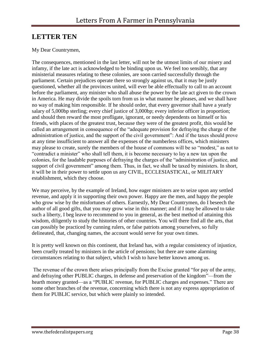# <span id="page-38-0"></span>**LETTER TEN**

### My Dear Countrymen,

The consequences, mentioned in the last letter, will not be the utmost limits of our misery and infamy, if the late act is acknowledged to be binding upon us. We feel too sensibly, that any ministerial measures relating to these colonies, are soon carried successfully through the parliament. Certain prejudices operate there so strongly against us, that it may be justly questioned, whether all the provinces united, will ever be able effectually to call to an account before the parliament, any minister who shall abuse the power by the late act given to the crown in America. He may divide the spoils torn from us in what manner he pleases, and we shall have no way of making him responsible. If he should order, that every governor shall have a yearly salary of 5,000bp sterling; every chief justice of 3,000bp; every inferior officer in proportion; and should then reward the most profligate, ignorant, or needy dependents on himself or his friends, with places of the greatest trust, because they were of the greatest profit, this would be called an arrangement in consequence of the "adequate provision for defraying the charge of the administration of justice, and the support of the civil government": And if the taxes should prove at any time insufficient to answer all the expenses of the numberless offices, which ministers may please to create, surely the members of the house of commons will be so "modest," as not to "contradict a minister" who shall tell them, it is become necessary to lay a new tax upon the colonies, for the laudable purposes of defraying the charges of the "administration of justice, and support of civil government" among them. Thus, in fact, we shall be taxed by ministers. In short, it will be in their power to settle upon us any CIVIL, ECCLESIASTICAL, or MILITARY establishment, which they choose.

We may perceive, by the example of Ireland, how eager ministers are to seize upon any settled revenue, and apply it in supporting their own power. Happy are the men, and happy the people who grow wise by the misfortunes of others. Earnestly, My Dear Countrymen, do I beseech the author of all good gifts, that you may grow wise in this manner; and if I may be allowed to take such a liberty, I beg leave to recommend to you in general, as the best method of attaining this wisdom, diligently to study the histories of other countries. You will there find all the arts, that can possibly be practiced by cunning rulers, or false patriots among yourselves, so fully delineated, that, changing names, the account would serve for your own times.

It is pretty well known on this continent, that Ireland has, with a regular consistency of injustice, been cruelly treated by ministers in the article of pensions; but there are some alarming circumstances relating to that subject, which I wish to have better known among us.

The revenue of the crown there arises principally from the Excise granted "for pay of the army, and defraying other PUBLIC charges, in defense and preservation of the kingdom"—from the hearth money granted—as a "PUBLIC revenue, for PUBLIC charges and expenses." There are some other branches of the revenue, concerning which there is not any express appropriation of them for PUBLIC service, but which were plainly so intended.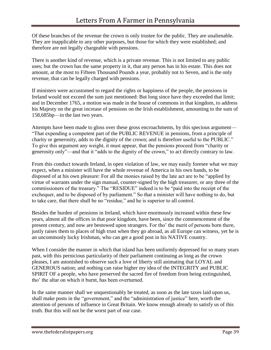Of these branches of the revenue the crown is only trustee for the public. They are unalienable. They are inapplicable to any other purposes, but those for which they were established; and therefore are not legally chargeable with pensions.

There is another kind of revenue, which is a private revenue. This is not limited to any public uses; but the crown has the same property in it, that any person has in his estate. This does not amount, at the most to Fifteen Thousand Pounds a year, probably not to Seven, and is the only revenue, that can be legally charged with pensions.

If ministers were accustomed to regard the rights or happiness of the people, the pensions in Ireland would not exceed the sum just mentioned: But long since have they exceeded that limit; and in December 1765, a motion was made in the house of commons in that kingdom, to address his Majesty on the great increase of pensions on the Irish establishment, amounting to the sum of 158,685bp—in the last two years.

Attempts have been made to gloss over these gross encroachments, by this specious argument— "That expending a competent part of the PUBLIC REVENUE in pensions, from a principle of charity or generosity, adds to the dignity of the crown; and is therefore useful to the PUBLIC." To give this argument any weight, it must appear, that the pensions proceed from "charity or generosity only"—and that it "adds to the dignity of the crown," to act directly contrary to law.

From this conduct towards Ireland, in open violation of law, we may easily foresee what we may expect, when a minister will have the whole revenue of America in his own hands, to be disposed of at his own pleasure: For all the monies raised by the late act are to be "applied by virtue of warrants under the sign manual, counter-signed by the high treasurer, or any three of the commissioners of the treasury." The "RESIDUE" indeed is to be "paid into the receipt of the exchequer, and to be disposed of by parliament." So that a minister will have nothing to do, but to take care, that there shall be no "residue," and he is superior to all control.

Besides the burden of pensions in Ireland, which have enormously increased within these few years, almost all the offices in that poor kingdom, have been, since the commencement of the present century, and now are bestowed upon strangers. For tho' the merit of persons born there, justly raises them to places of high trust when they go abroad, as all Europe can witness, yet he is an uncommonly lucky Irishman, who can get a good post in his NATIVE country.

When I consider the manner in which that island has been uniformly depressed for so many years past, with this pernicious particularity of their parliament continuing as long as the crown pleases, I am astonished to observe such a love of liberty still animating that LOYAL and GENEROUS nation; and nothing can raise higher my idea of the INTEGRITY and PUBLIC SPIRIT OF a people, who have preserved the sacred fire of freedom from being extinguished, tho' the altar on which it burnt, has been overturned.

In the same manner shall we unquestionably be treated, as soon as the late taxes laid upon us, shall make posts in the "government," and the "administration of justice" here, worth the attention of persons of influence in Great Britain. We know enough already to satisfy us of this truth. But this will not be the worst part of our case.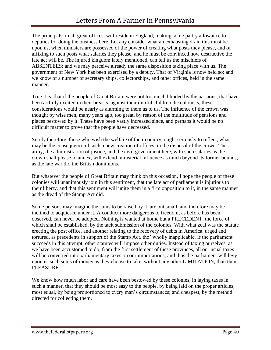The principals, in all great offices, will reside in England, making some paltry allowance to deputies for doing the business here. Let any consider what an exhausting drain this must be upon us, when ministers are possessed of the power of creating what posts they please, and of affixing to such posts what salaries they please, and he must be convinced how destructive the late act will be. The injured kingdom lately mentioned, can tell us the mischiefs of ABSENTEES; and we may perceive already the same disposition taking place with us. The government of New York has been exercised by a deputy. That of Virginia is now held so; and we know of a number of secretary ships, collectorships, and other offices, held in the same manner.

True it is, that if the people of Great Britain were not too much blinded by the passions, that have been artfully excited in their breasts, against their dutiful children the colonists, these considerations would be nearly as alarming to them as to us. The influence of the crown was thought by wise men, many years ago, too great, by reason of the multitude of pensions and places bestowed by it. These have been vastly increased since, and perhaps it would be no difficult matter to prove that the people have decreased.

Surely therefore, those who wish the welfare of their country, ought seriously to reflect, what may be the consequence of such a new creation of offices, in the disposal of the crown. The army, the administration of justice, and the civil government here, with such salaries as the crown shall please to annex, will extend ministerial influence as much beyond its former bounds, as the late war did the British dominions.

But whatever the people of Great Britain may think on this occasion, I hope the people of these colonies will unanimously join in this sentiment, that the late act of parliament is injurious to their liberty, and that this sentiment will unite them in a firm opposition to it, in the same manner as the dread of the Stamp Act did.

Some persons may imagine the sums to be raised by it, are but small, and therefore may be inclined to acquiesce under it. A conduct more dangerous to freedom, as before has been observed, can never be adopted. Nothing is wanted at home but a PRECEDENT, the force of which shall be established, by the tacit submission of the colonies. With what zeal was the statute erecting the post office, and another relating to the recovery of debts in America, urged and tortured, as precedents in support of the Stamp Act, tho' wholly inapplicable. If the parliament succeeds in this attempt, other statutes will impose other duties. Instead of taxing ourselves, as we have been accustomed to do, from the first settlement of these provinces, all our usual taxes will be converted into parliamentary taxes on our importations; and thus the parliament will levy upon us such sums of money as they choose to take, without any other LIMITATION, than their PLEASURE.

We know how much labor and care have been bestowed by these colonies, in laying taxes in such a manner, that they should be most easy to the people, by being laid on the proper articles; most equal, by being proportioned to every man's circumstances; and cheapest, by the method directed for collecting them.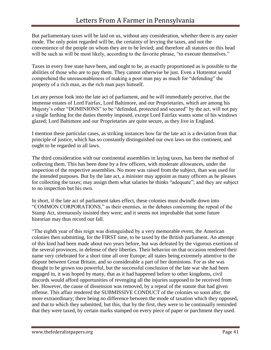But parliamentary taxes will be laid on us, without any consideration, whether there is any easier mode. The only point regarded will be, the certainty of levying the taxes, and not the convenience of the people on whom they are to be levied; and therefore all statutes on this head will be such as will be most likely, according to the favorite phrase, "to execute themselves."

Taxes in every free state have been, and ought to be, as exactly proportioned as is possible to the abilities of those who are to pay them. They cannot otherwise be just. Even a Hottentot would comprehend the unreasonableness of making a poor man pay as much for "defending" the property of a rich man, as the rich man pays himself.

Let any person look into the late act of parliament, and he will immediately perceive, that the immense estates of Lord Fairfax, Lord Baltimore, and our Proprietaries, which are among his Majesty's other "DOMINIONS" to be "defended, protected and secured" by the act, will not pay a single farthing for the duties thereby imposed, except Lord Fairfax wants some of his windows glazed; Lord Baltimore and our Proprietaries are quite secure, as they live in England.

I mention these particular cases, as striking instances how far the late act is a deviation from that principle of justice, which has so constantly distinguished our own laws on this continent, and ought to be regarded in all laws.

The third consideration with our continental assemblies in laying taxes, has been the method of collecting them. This has been done by a few officers, with moderate allowances, under the inspection of the respective assemblies. No more was raised from the subject, than was used for the intended purposes. But by the late act, a minister may appoint as many officers as he pleases for collecting the taxes; may assign them what salaries he thinks "adequate"; and they are subject to no inspection but his own.

In short, if the late act of parliament takes effect, these colonies must dwindle down into "COMMON CORPORATIONS," as their enemies, in the debates concerning the repeal of the Stamp Act, strenuously insisted they were; and it seems not improbable that some future historian may thus record our fall.

"The eighth year of this reign was distinguished by a very memorable event, the American colonies then submitting, for the FIRST time, to be taxed by the British parliament. An attempt of this kind had been made about two years before, but was defeated by the vigorous exertions of the several provinces, in defense of their liberties. Their behavior on that occasion rendered their name very celebrated for a short time all over Europe; all states being extremely attentive to the dispute between Great Britain, and so considerable a part of her dominions. For as she was thought to be grown too powerful, but the successful conclusion of the late war she had been engaged in, it was hoped by many, that as it had happened before to other kingdoms, civil discords would afford opportunities of revenging all the injuries supposed to be received from her. However, the cause of dissension was removed, by a repeal of the statute that had given offense. This affair rendered the SUBMISSIVE CONDUCT of the colonies so soon after, the more extraordinary; there being no difference between the mode of taxation which they opposed, and that to which they submitted, but this, that by the first, they were to be continually reminded that they were taxed, by certain marks stamped on every piece of paper or parchment they used.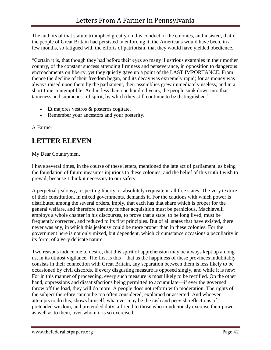The authors of that statute triumphed greatly on this conduct of the colonies, and insisted, that if the people of Great Britain had persisted in enforcing it, the Americans would have been, in a few months, so fatigued with the efforts of patriotism, that they would have yielded obedience.

"Certain it is, that though they had before their eyes so many illustrious examples in their mother country, of the constant success attending firmness and perseverance, in opposition to dangerous encroachments on liberty, yet they quietly gave up a point of the LAST IMPORTANCE. From thence the decline of their freedom began, and its decay was extremely rapid; for as money was always raised upon them by the parliament, their assemblies grew immediately useless, and in a short time contemptible: And in less than one hundred years, the people sunk down into that tameness and supineness of spirit, by which they still continue to be distinguished."

- Et majores vestros & posteros cogitate.
- Remember your ancestors and your posterity.

A Farmer

# <span id="page-42-0"></span>**LETTER ELEVEN**

My Dear Countrymen,

I have several times, in the course of these letters, mentioned the late act of parliament, as being the foundation of future measures injurious to these colonies; and the belief of this truth I wish to prevail, because I think it necessary to our safety.

A perpetual jealousy, respecting liberty, is absolutely requisite in all free states. The very texture of their constitution, in mixed governments, demands it. For the cautions with which power is distributed among the several orders, imply, that each has that share which is proper for the general welfare, and therefore that any further acquisition must be pernicious. Machiavelli employs a whole chapter in his discourses, to prove that a state, to be long lived, must be frequently corrected, and reduced to its first principles. But of all states that have existed, there never was any, in which this jealousy could be more proper than in these colonies. For the government here is not only mixed, but dependent, which circumstance occasions a peculiarity in its form, of a very delicate nature.

Two reasons induce me to desire, that this spirit of apprehension may be always kept up among us, in its utmost vigilance. The first is this—that as the happiness of these provinces indubitably consists in their connection with Great Britain, any separation between them is less likely to be occasioned by civil discords, if every disgusting measure is opposed singly, and while it is new: For in this manner of proceeding, every such measure is most likely to be rectified. On the other hand, oppressions and dissatisfactions being permitted to accumulate—if ever the governed throw off the load, they will do more. A people does not reform with moderation. The rights of the subject therefore cannot be too often considered, explained or asserted: And whoever attempts to do this, shows himself, whatever may be the rash and peevish reflections of pretended wisdom, and pretended duty, a friend to those who injudiciously exercise their power, as well as to them, over whom it is so exercised.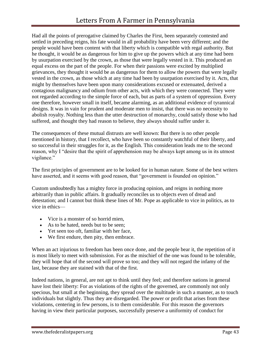Had all the points of prerogative claimed by Charles the First, been separately contested and settled in preceding reigns, his fate would in all probability have been very different; and the people would have been content with that liberty which is compatible with regal authority. But he thought, it would be as dangerous for him to give up the powers which at any time had been by usurpation exercised by the crown, as those that were legally vested in it. This produced an equal excess on the part of the people. For when their passions were excited by multiplied grievances, they thought it would be as dangerous for them to allow the powers that were legally vested in the crown, as those which at any time had been by usurpation exercised by it. Acts, that might by themselves have been upon many considerations excused or extenuated, derived a contagious malignancy and odium from other acts, with which they were connected. They were not regarded according to the simple force of each, but as parts of a system of oppression. Every one therefore, however small in itself, became alarming, as an additional evidence of tyrannical designs. It was in vain for prudent and moderate men to insist, that there was no necessity to abolish royalty. Nothing less than the utter destruction of monarchy, could satisfy those who had suffered, and thought they had reason to believe, they always should suffer under it.

The consequences of these mutual distrusts are well known: But there is no other people mentioned in history, that I recollect, who have been so constantly watchful of their liberty, and so successful in their struggles for it, as the English. This consideration leads me to the second reason, why I "desire that the spirit of apprehension may be always kept among us in its utmost vigilance."

The first principles of government are to be looked for in human nature. Some of the best writers have asserted, and it seems with good reason, that "government is founded on opinion."

Custom undoubtedly has a mighty force in producing opinion, and reigns in nothing more arbitrarily than in public affairs. It gradually reconciles us to objects even of dread and detestation; and I cannot but think these lines of Mr. Pope as applicable to vice in politics, as to vice in ethics—

- Vice is a monster of so horrid mien,
- As to be hated, needs but to be seen;
- Yet seen too oft, familiar with her face,
- We first endure, then pity, then embrace.

When an act injurious to freedom has been once done, and the people bear it, the repetition of it is most likely to meet with submission. For as the mischief of the one was found to be tolerable, they will hope that of the second will prove so too; and they will not regard the infamy of the last, because they are stained with that of the first.

Indeed nations, in general, are not apt to think until they feel; and therefore nations in general have lost their liberty: For as violations of the rights of the governed, are commonly not only specious, but small at the beginning, they spread over the multitude in such a manner, as to touch individuals but slightly. Thus they are disregarded. The power or profit that arises from these violations, centering in few persons, is to them considerable. For this reason the governors having in view their particular purposes, successfully preserve a uniformity of conduct for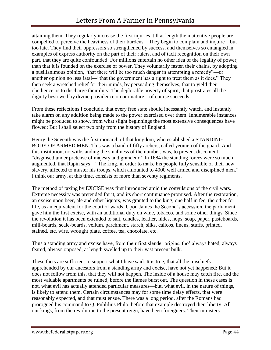attaining them. They regularly increase the first injuries, till at length the inattentive people are compelled to perceive the heaviness of their burdens—They begin to complain and inquire—but too late. They find their oppressors so strengthened by success, and themselves so entangled in examples of express authority on the part of their rulers, and of tacit recognition on their own part, that they are quite confounded: For millions entertain no other idea of the legality of power, than that it is founded on the exercise of power. They voluntarily fasten their chains, by adopting a pusillanimous opinion, "that there will be too much danger in attempting a remedy"—or another opinion no less fatal—"that the government has a right to treat them as it does." They then seek a wretched relief for their minds, by persuading themselves, that to yield their obedience, is to discharge their duty. The deplorable poverty of spirit, that prostrates all the dignity bestowed by divine providence on our nature—of course succeeds.

From these reflections I conclude, that every free state should incessantly watch, and instantly take alarm on any addition being made to the power exercised over them. Innumerable instances might be produced to show, from what slight beginnings the most extensive consequences have flowed: But I shall select two only from the history of England.

Henry the Seventh was the first monarch of that kingdom, who established a STANDING BODY OF ARMED MEN. This was a band of fifty archers, called yeomen of the guard: And this institution, notwithstanding the smallness of the number, was, to prevent discontent, "disguised under pretense of majesty and grandeur." In 1684 the standing forces were so much augmented, that Rapin says—"The king, in order to make his people fully sensible of their new slavery, affected to muster his troops, which amounted to 4000 well armed and disciplined men." I think our army, at this time, consists of more than seventy regiments.

The method of taxing by EXCISE was first introduced amid the convulsions of the civil wars. Extreme necessity was pretended for it, and its short continuance promised. After the restoration, an excise upon beer, ale and other liquors, was granted to the king, one half in fee, the other for life, as an equivalent for the court of wards. Upon James the Second's accession, the parliament gave him the first excise, with an additional duty on wine, tobacco, and some other things. Since the revolution it has been extended to salt, candles, leather, hides, hops, soap, paper, pasteboards, mill-boards, scale-boards, vellum, parchment, starch, silks, calicos, linens, stuffs, printed, stained, etc. wire, wrought plate, coffee, tea, chocolate, etc.

Thus a standing army and excise have, from their first slender origins, tho' always hated, always feared, always opposed, at length swelled up to their vast present bulk.

These facts are sufficient to support what I have said. It is true, that all the mischiefs apprehended by our ancestors from a standing army and excise, have not yet happened: But it does not follow from this, that they will not happen. The inside of a house may catch fire, and the most valuable apartments be ruined, before the flames burst out. The question in these cases is not, what evil has actually attended particular measures—but, what evil, in the nature of things, is likely to attend them. Certain circumstances may for some time delay effects, that were reasonably expected, and that must ensue. There was a long period, after the Romans had prorogued his command to Q. Publilius Philo, before that example destroyed their liberty. All our kings, from the revolution to the present reign, have been foreigners. Their ministers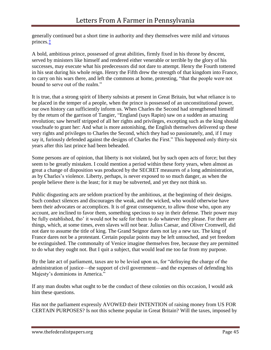generally continued but a short time in authority and they themselves were mild and virtuous princes[.‡](http://oll.libertyfund.org/?option=com_staticxt&staticfile=show.php%3Ftitle=690&chapter=102299&layout=html&Itemid=27#lf0010_footnote_nt_054)

A bold, ambitious prince, possessed of great abilities, firmly fixed in his throne by descent, served by ministers like himself and rendered either venerable or terrible by the glory of his successes, may execute what his predecessors did not dare to attempt. Henry the Fourth tottered in his seat during his whole reign. Henry the Fifth drew the strength of that kingdom into France, to carry on his wars there, and left the commons at home, protesting, "that the people were not bound to serve out of the realm."

It is true, that a strong spirit of liberty subsists at present in Great Britain, but what reliance is to be placed in the temper of a people, when the prince is possessed of an unconstitutional power, our own history can sufficiently inform us. When Charles the Second had strengthened himself by the return of the garrison of Tangier, "England (says Rapin) saw on a sudden an amazing revolution; saw herself stripped of all her rights and privileges, excepting such as the king should vouchsafe to grant her: And what is more astonishing, the English themselves delivered up these very rights and privileges to Charles the Second, which they had so passionately, and, if I may say it, furiously defended against the designs of Charles the First." This happened only thirty-six years after this last prince had been beheaded.

Some persons are of opinion, that liberty is not violated, but by such open acts of force; but they seem to be greatly mistaken. I could mention a period within these forty years, when almost as great a change of disposition was produced by the SECRET measures of a long administration, as by Charles's violence. Liberty, perhaps, is never exposed to so much danger, as when the people believe there is the least; for it may be subverted, and yet they not think so.

Public disgusting acts are seldom practiced by the ambitious, at the beginning of their designs. Such conduct silences and discourages the weak, and the wicked, who would otherwise have been their advocates or accomplices. It is of great consequence, to allow those who, upon any account, are inclined to favor them, something specious to say in their defense. Their power may be fully established, tho' it would not be safe for them to do whatever they please. For there are things, which, at some times, even slaves will not bear. Julius Caesar, and Oliver Cromwell, did not dare to assume the title of king. The Grand Seignor dares not lay a new tax. The king of France dares not be a protestant. Certain popular points may be left untouched, and yet freedom be extinguished. The commonalty of Venice imagine themselves free, because they are permitted to do what they ought not. But I quit a subject, that would lead me too far from my purpose.

By the late act of parliament, taxes are to be levied upon us, for "defraying the charge of the administration of justice—the support of civil government—and the expenses of defending his Majesty's dominions in America."

If any man doubts what ought to be the conduct of these colonies on this occasion, I would ask him these questions.

Has not the parliament expressly AVOWED their INTENTION of raising money from US FOR CERTAIN PURPOSES? Is not this scheme popular in Great Britain? Will the taxes, imposed by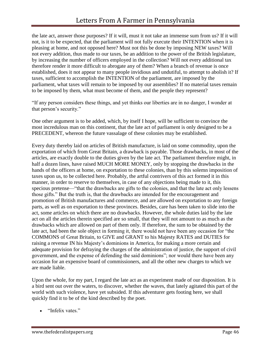the late act, answer those purposes? If it will, must it not take an immense sum from us? If it will not, is it to be expected, that the parliament will not fully execute their INTENTION when it is pleasing at home, and not opposed here? Must not this be done by imposing NEW taxes? Will not every addition, thus made to our taxes, be an addition to the power of the British legislature, by increasing the number of officers employed in the collection? Will not every additional tax therefore render it more difficult to abrogate any of them? When a branch of revenue is once established, does it not appear to many people invidious and undutiful, to attempt to abolish it? If taxes, sufficient to accomplish the INTENTION of the parliament, are imposed by the parliament, what taxes will remain to be imposed by our assemblies? If no material taxes remain to be imposed by them, what must become of them, and the people they represent?

"If any person considers these things, and yet thinks our liberties are in no danger, I wonder at that person's security."

One other argument is to be added, which, by itself I hope, will be sufficient to convince the most incredulous man on this continent, that the late act of parliament is only designed to be a PRECEDENT, whereon the future vassalage of these colonies may be established.

Every duty thereby laid on articles of British manufacture, is laid on some commodity, upon the exportation of which from Great Britain, a drawback is payable. Those drawbacks, in most of the articles, are exactly double to the duties given by the late act. The parliament therefore might, in half a dozen lines, have raised MUCH MORE MONEY, only by stopping the drawbacks in the hands of the officers at home, on exportation to these colonies, than by this solemn imposition of taxes upon us, to be collected here. Probably, the artful contrivers of this act formed it in this manner, in order to reserve to themselves, in case of any objections being made to it, this specious pretense—"that the drawbacks are gifts to the colonies, and that the late act only lessens those gifts." But the truth is, that the drawbacks are intended for the encouragement and promotion of British manufactures and commerce, and are allowed on exportation to any foreign parts, as well as on exportation to these provinces. Besides, care has been taken to slide into the act, some articles on which there are no drawbacks. However, the whole duties laid by the late act on all the articles therein specified are so small, that they will not amount to as much as the drawbacks which are allowed on part of them only. If therefore, the sum to be obtained by the late act, had been the sole object in forming it, there would not have been any occasion for "the COMMONS of Great Britain, to GIVE and GRANT to his Majesty RATES and DUTIES for raising a revenue IN his Majesty's dominions in America, for making a more certain and adequate provision for defraying the charges of the administration of justice, the support of civil government, and the expense of defending the said dominions"; nor would there have been any occasion for an expensive board of commissioners, and all the other new charges to which we are made liable.

Upon the whole, for my part, I regard the late act as an experiment made of our disposition. It is a bird sent out over the waters, to discover, whether the waves, that lately agitated this part of the world with such violence, have yet subsided. If this adventurer gets footing here, we shall quickly find it to be of the kind described by the poet.

"Infelix vates"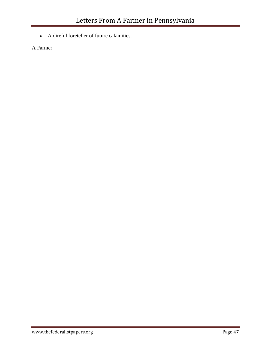A direful foreteller of future calamities.

A Farmer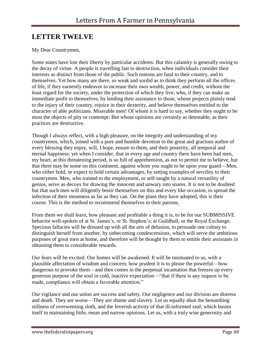# <span id="page-48-0"></span>**LETTER TWELVE**

### My Dear Countrymen,

Some states have lost their liberty by particular accidents: But this calamity is generally owing to the decay of virtue. A people is travelling fast to destruction, when individuals consider their interests as distinct from those of the public. Such notions are fatal to their country, and to themselves. Yet how many are there, so weak and sordid as to think they perform all the offices of life, if they earnestly endeavor to increase their own wealth, power, and credit, without the least regard for the society, under the protection of which they live; who, if they can make an immediate profit to themselves, by lending their assistance to those, whose projects plainly tend to the injury of their country, rejoice in their dexterity, and believe themselves entitled to the character of able politicians. Miserable men! Of whom it is hard to say, whether they ought to be most the objects of pity or contempt: But whose opinions are certainly as detestable, as their practices are destructive.

Though I always reflect, with a high pleasure, on the integrity and understanding of my countrymen, which, joined with a pure and humble devotion to the great and gracious author of every blessing they enjoy, will, I hope, ensure to them, and their posterity, all temporal and eternal happiness; yet when I consider, that in every age and country there have been bad men, my heart, at this threatening period, is so full of apprehension, as not to permit me to believe, but that there may be some on this continent, against whom you ought to be upon your guard—Men, who either hold, or expect to hold certain advantages, by setting examples of servility to their countrymen. Men, who trained to the employment, or self-taught by a natural versatility of genius, serve as decoys for drawing the innocent and unwary into snares. It is not to be doubted but that such men will diligently bestir themselves on this and every like occasion, to spread the infection of their meanness as far as they can. On the plans they have adopted, this is their course. This is the method to recommend themselves to their patrons.

From them we shall learn, how pleasant and profitable a thing it is, to be for our SUBMISSIVE behavior well-spoken of at St. James's, or St. Stephen's; at Guildhall, or the Royal Exchange. Specious fallacies will be dressed up with all the arts of delusion, to persuade one colony to distinguish herself from another, by unbecoming condescensions, which will serve the ambitious purposes of great men at home, and therefore will be thought by them to entitle their assistants in obtaining them to considerable rewards.

Our fears will be excited. Our homes will be awakened. It will be insinuated to us, with a plausible affectation of wisdom and concern, how prudent it is to please the powerful—how dangerous to provoke them—and then comes in the perpetual incantation that freezes up every generous purpose of the soul in cold, inactive expectation—"that if there is any request to be made, compliance will obtain a favorable attention."

Our vigilance and our union are success and safety. Our negligence and our division are distress and death. They are worse—They are shame and slavery. Let us equally shun the benumbing stillness of overweening sloth, and the feverish activity of that ill-informed zeal, which busies itself in maintaining little, mean and narrow opinions. Let us, with a truly wise generosity and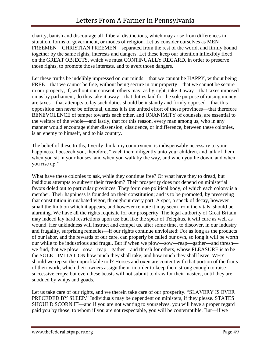charity, banish and discourage all illiberal distinctions, which may arise from differences in situation, forms of government, or modes of religion. Let us consider ourselves as MEN— FREEMEN—CHRISTIAN FREEMEN—separated from the rest of the world, and firmly bound together by the same rights, interests and dangers. Let these keep our attention inflexibly fixed on the GREAT OBJECTS, which we must CONTINUALLY REGARD, in order to preserve those rights, to promote those interests, and to avert those dangers.

Let these truths be indelibly impressed on our minds—that we cannot be HAPPY, without being FREE—that we cannot be free, without being secure in our property—that we cannot be secure in our property, if, without our consent, others may, as by right, take it away—that taxes imposed on us by parliament, do thus take it away—that duties laid for the sole purpose of raising money, are taxes—that attempts to lay such duties should be instantly and firmly opposed—that this opposition can never be effectual, unless it is the united effort of these provinces—that therefore BENEVOLENCE of temper towards each other, and UNANIMITY of counsels, are essential to the welfare of the whole—and lastly, that for this reason, every man among us, who in any manner would encourage either dissension, dissidence, or indifference, between these colonies, is an enemy to himself, and to his country.

The belief of these truths, I verily think, my countrymen, is indispensably necessary to your happiness. I beseech you, therefore, "teach them diligently unto your children, and talk of them when you sit in your houses, and when you walk by the way, and when you lie down, and when you rise up."

What have these colonies to ask, while they continue free? Or what have they to dread, but insidious attempts to subvert their freedom? Their prosperity does not depend on ministerial favors doled out to particular provinces. They form one political body, of which each colony is a member. Their happiness is founded on their constitution; and is to be promoted, by preserving that constitution in unabated vigor, throughout every part. A spot, a speck of decay, however small the limb on which it appears, and however remote it may seem from the vitals, should be alarming. We have all the rights requisite for our prosperity. The legal authority of Great Britain may indeed lay hard restrictions upon us; but, like the spear of Telephus, it will cure as well as wound. Her unkindness will instruct and compel us, after some time, to discover, in our industry and frugality, surprising remedies—if our rights continue unviolated: For as long as the products of our labor, and the rewards of our care, can properly be called our own, so long it will be worth our while to be industrious and frugal. But if when we plow—sow—reap—gather—and thresh we find, that we plow—sow—reap—gather—and thresh for others, whose PLEASURE is to be the SOLE LIMITATION how much they shall take, and how much they shall leave, WHY should we repeat the unprofitable toil? Horses and oxen are content with that portion of the fruits of their work, which their owners assign them, in order to keep them strong enough to raise successive crops; but even these beasts will not submit to draw for their masters, until they are subdued by whips and goads.

Let us take care of our rights, and we therein take care of our prosperity. "SLAVERY IS EVER PRECEDED BY SLEEP." Individuals may be dependent on ministers, if they please. STATES SHOULD SCORN IT—and if you are not wanting to yourselves, you will have a proper regard paid you by those, to whom if you are not respectable, you will be contemptible. But—if we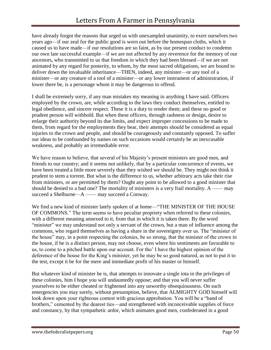have already forgot the reasons that urged us with unexampled unanimity, to exert ourselves two years ago—if our zeal for the public good is worn out before the homespun cloths, which it caused us to have made—if our resolutions are so faint, as by our present conduct to condemn our own late successful example—if we are not affected by any reverence for the memory of our ancestors, who transmitted to us that freedom in which they had been blessed—if we are not animated by any regard for posterity, to whom, by the most sacred obligations, we are bound to deliver down the invaluable inheritance—THEN, indeed, any minister—or any tool of a minister—or any creature of a tool of a minister—or any lower instrument of administration, if lower there be, is a personage whom it may be dangerous to offend.

I shall be extremely sorry, if any man mistakes my meaning in anything I have said. Officers employed by the crown, are, while according to the laws they conduct themselves, entitled to legal obedience, and sincere respect. These it is a duty to render them; and these no good or prudent person will withhold. But when these officers, through rashness or design, desire to enlarge their authority beyond its due limits, and expect improper concessions to be made to them, from regard for the employments they bear, their attempts should be considered as equal injuries to the crown and people, and should be courageously and constantly opposed. To suffer our ideas to be confounded by names on such occasions would certainly be an inexcusable weakness, and probably an irremediable error.

We have reason to believe, that several of his Majesty's present ministers are good men, and friends to our country; and it seems not unlikely, that by a particular concurrence of events, we have been treated a little more severely than they wished we should be. They might not think it prudent to stem a torrent. But what is the difference to us, whether arbitrary acts take their rise from ministers, or are permitted by them? Ought any point to be allowed to a good minister that should be denied to a bad one? The mortality of ministers is a very frail mortality.  $A \longrightarrow may$ succeed a Shelburne—A —— may succeed a Conway.

We find a new kind of minister lately spoken of at home—"THE MINISTER OF THE HOUSE OF COMMONS." The term seems to have peculiar propriety when referred to these colonies, with a different meaning annexed to it, from that in which it is taken there. By the word "minister" we may understand not only a servant of the crown, but a man of influence among the commons, who regard themselves as having a share in the sovereignty over us. The "minister of the house" may, in a point respecting the colonies, be so strong, that the minister of the crown in the house, if he is a distinct person, may not choose, even where his sentiments are favorable to us, to come to a pitched battle upon our account. For tho' I have the highest opinion of the deference of the house for the King's minister, yet he may be so good natured, as not to put it to the test, except it be for the mere and immediate profit of his master or himself.

But whatever kind of minister he is, that attempts to innovate a single iota in the privileges of these colonies, him I hope you will undauntedly oppose; and that you will never suffer yourselves to be either cheated or frightened into any unworthy obsequiousness. On such emergencies you may surely, without presumption, believe, that ALMIGHTY GOD himself will look down upon your righteous contest with gracious approbation. You will be a "band of brothers," cemented by the dearest ties—and strengthened with inconceivable supplies of force and constancy, by that sympathetic ardor, which animates good men, confederated in a good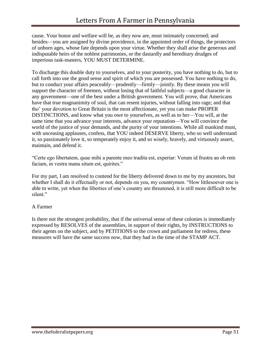cause. Your honor and welfare will be, as they now are, most intimately concerned; and besides—you are assigned by divine providence, in the appointed order of things, the protectors of unborn ages, whose fate depends upon your virtue. Whether they shall arise the generous and indisputable heirs of the noblest patrimonies, or the dastardly and hereditary drudges of imperious task-masters, YOU MUST DETERMINE.

To discharge this double duty to yourselves, and to your posterity, you have nothing to do, but to call forth into use the good sense and spirit of which you are possessed. You have nothing to do, but to conduct your affairs peaceably—prudently—firmly—jointly. By these means you will support the character of freemen, without losing that of faithful subjects—a good character in any government—one of the best under a British government. You will prove, that Americans have that true magnanimity of soul, that can resent injuries, without falling into rage; and that tho' your devotion to Great Britain is the most affectionate, yet you can make PROPER DISTINCTIONS, and know what you owe to yourselves, as well as to her—You will, at the same time that you advance your interests, advance your reputation—You will convince the world of the justice of your demands, and the purity of your intentions. While all mankind must, with unceasing applauses, confess, that YOU indeed DESERVE liberty, who so well understand it, so passionately love it, so temperately enjoy it, and so wisely, bravely, and virtuously assert, maintain, and defend it.

"Certe ego libertatem, quae mihi a parente meo tradita est, experiar: Verum id frustra an ob rem faciam, in vestra manu situm est, quirites."

For my part, I am resolved to contend for the liberty delivered down to me by my ancestors, but whether I shall do it effectually or not, depends on you, my countrymen. "How littlesoever one is able to write, yet when the liberties of one's country are threatened, it is still more difficult to be silent."

### A Farmer

Is there not the strongest probability, that if the universal sense of these colonies is immediately expressed by RESOLVES of the assemblies, in support of their rights, by INSTRUCTIONS to their agents on the subject, and by PETITIONS to the crown and parliament for redress, these measures will have the same success now, that they had in the time of the STAMP ACT.